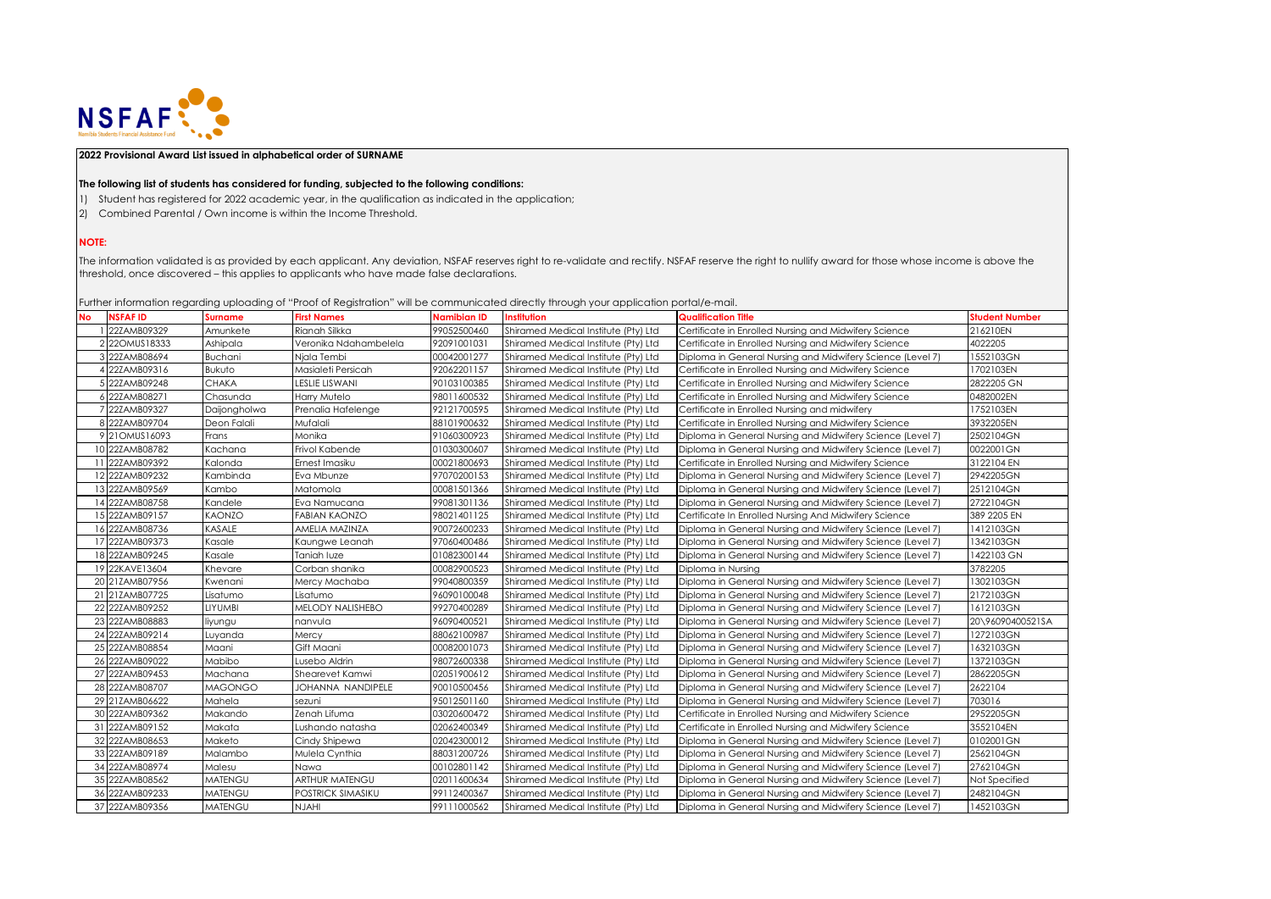

## **2022 Provisional Award List issued in alphabetical order of SURNAME**

## **The following list of students has considered for funding, subjected to the following conditions:**

- 1) Student has registered for 2022 academic year, in the qualification as indicated in the application;
- 2) Combined Parental / Own income is within the Income Threshold.

## **NOTE:**

The information validated is as provided by each applicant. Any deviation, NSFAF reserves right to re-validate and rectify. NSFAF reserve the right to nullify award for those whose income is above the threshold, once discovered – this applies to applicants who have made false declarations.

Further information regarding uploading of "Proof of Registration" will be communicated directly through your application portal/e-mail.

| No. | <b>NSFAFID</b>  | <b>Surname</b> | <b>First Names</b>    | <b>Namibian ID</b> | official information regarding opiodality or in foot of Regionation. This be commonicated allochy mitoegri you application portal) o mail.<br><b>Institution</b> | <b>Qualification Title</b>                                 | <b>Student Number</b> |
|-----|-----------------|----------------|-----------------------|--------------------|------------------------------------------------------------------------------------------------------------------------------------------------------------------|------------------------------------------------------------|-----------------------|
|     | 22ZAMB09329     | Amunkete       | Rianah Silkka         | 99052500460        | Shiramed Medical Institute (Pty) Ltd                                                                                                                             | Certificate in Enrolled Nursing and Midwifery Science      | 216210EN              |
|     | 2 22OMUS18333   | Ashipala       | Veronika Ndahambelela | 92091001031        | Shiramed Medical Institute (Pty) Ltd                                                                                                                             | Certificate in Enrolled Nursing and Midwifery Science      | 4022205               |
|     | 3 22ZAMB08694   | Buchani        | Njala Tembi           | 00042001277        | Shiramed Medical Institute (Pty) Ltd                                                                                                                             | Diploma in General Nursing and Midwifery Science (Level 7) | 1552103GN             |
|     | 22ZAMB09316     | <b>Bukuto</b>  | Masialeti Persicah    | 92062201157        | Shiramed Medical Institute (Pty) Ltd                                                                                                                             | Certificate in Enrolled Nursing and Midwifery Science      | 1702103EN             |
|     | 22ZAMB09248     | <b>CHAKA</b>   | LESLIE LISWANI        | 90103100385        | Shiramed Medical Institute (Pty) Ltd                                                                                                                             | Certificate in Enrolled Nursing and Midwifery Science      | 2822205 GN            |
|     | 22ZAMB08271     | Chasunda       | Harry Mutelo          | 98011600532        | Shiramed Medical Institute (Pty) Ltd                                                                                                                             | Certificate in Enrolled Nursing and Midwifery Science      | 0482002EN             |
|     | 22ZAMB09327     | Daijongholwa   | Prenalia Hafelenge    | 92121700595        | Shiramed Medical Institute (Pty) Ltd                                                                                                                             | Certificate in Enrolled Nursing and midwifery              | 1752103EN             |
|     | 8 22ZAMB09704   | Deon Falali    | Mufalali              | 88101900632        | Shiramed Medical Institute (Pty) Ltd                                                                                                                             | Certificate in Enrolled Nursing and Midwifery Science      | 3932205EN             |
|     | 9 21 OMUS1 6093 | Frans          | Monika                | 91060300923        | Shiramed Medical Institute (Pty) Ltd                                                                                                                             | Diploma in General Nursing and Midwifery Science (Level 7) | 2502104GN             |
|     | 10 22ZAMB08782  | Kachana        | Frivol Kabende        | 01030300607        | Shiramed Medical Institute (Pty) Ltd                                                                                                                             | Diploma in General Nursing and Midwifery Science (Level 7) | 0022001GN             |
|     | 22ZAMB09392     | Kalonda        | Ernest Imasiku        | 00021800693        | Shiramed Medical Institute (Pty) Ltd                                                                                                                             | Certificate in Enrolled Nursing and Midwifery Science      | 3122104 EN            |
|     | 12 22ZAMB09232  | Kambinda       | Eva Mbunze            | 97070200153        | Shiramed Medical Institute (Pty) Ltd                                                                                                                             | Diploma in General Nursing and Midwifery Science (Level 7) | 2942205GN             |
|     | 13 22ZAMB09569  | Kambo          | Matomola              | 00081501366        | Shiramed Medical Institute (Pty) Ltd                                                                                                                             | Diploma in General Nursing and Midwifery Science (Level 7) | 2512104GN             |
|     | 14 22ZAMB08758  | Kandele        | Eva Namucana          | 99081301136        | Shiramed Medical Institute (Pty) Ltd                                                                                                                             | Diploma in General Nursing and Midwifery Science (Level 7) | 2722104GN             |
|     | 15 22ZAMB09157  | <b>KAONZO</b>  | <b>FABIAN KAONZO</b>  | 98021401125        | Shiramed Medical Institute (Pty) Ltd                                                                                                                             | Certificate In Enrolled Nursing And Midwifery Science      | 389 2205 EN           |
|     | 16 22ZAMB08736  | <b>KASALE</b>  | AMELIA MAZINZA        | 90072600233        | Shiramed Medical Institute (Pty) Ltd                                                                                                                             | Diploma in General Nursing and Midwifery Science (Level 7) | 1412103GN             |
|     | 17 22ZAMB09373  | Kasale         | Kaungwe Leanah        | 97060400486        | Shiramed Medical Institute (Pty) Ltd                                                                                                                             | Diploma in General Nursing and Midwifery Science (Level 7) | 1342103GN             |
|     | 18 22ZAMB09245  | Kasale         | Taniah luze           | 01082300144        | Shiramed Medical Institute (Pty) Ltd                                                                                                                             | Diploma in General Nursing and Midwifery Science (Level 7) | 1422103 GN            |
|     | 19 22KAVE13604  | Khevare        | Corban shanika        | 00082900523        | Shiramed Medical Institute (Pty) Ltd                                                                                                                             | Diploma in Nursina                                         | 3782205               |
|     | 20 21ZAMB07956  | Kwenani        | Mercy Machaba         | 99040800359        | Shiramed Medical Institute (Pty) Ltd                                                                                                                             | Diploma in General Nursing and Midwifery Science (Level 7) | 1302103GN             |
|     | 21 21ZAMB07725  | Lisatumo       | Lisatumo              | 96090100048        | Shiramed Medical Institute (Pty) Ltd                                                                                                                             | Diploma in General Nursing and Midwifery Science (Level 7) | 2172103GN             |
|     | 22 22ZAMB09252  | LIYUMBI        | MELODY NALISHEBO      | 99270400289        | Shiramed Medical Institute (Pty) Ltd                                                                                                                             | Diploma in General Nursing and Midwifery Science (Level 7) | 1612103GN             |
|     | 23 22ZAMB08883  | liyungu        | nanvula               | 96090400521        | Shiramed Medical Institute (Pty) Ltd                                                                                                                             | Diploma in General Nursing and Midwifery Science (Level 7) | 20\96090400521SA      |
|     | 24 22ZAMB09214  | Luyanda        | Mercy                 | 88062100987        | Shiramed Medical Institute (Pty) Ltd                                                                                                                             | Diploma in General Nursing and Midwifery Science (Level 7) | 1272103GN             |
|     | 25 22ZAMB08854  | Maani          | Gift Maani            | 00082001073        | Shiramed Medical Institute (Pty) Ltd                                                                                                                             | Diploma in General Nursing and Midwifery Science (Level 7) | 1632103GN             |
|     | 26 22ZAMB09022  | Mabibo         | Lusebo Aldrin         | 98072600338        | Shiramed Medical Institute (Pty) Ltd                                                                                                                             | Diploma in General Nursing and Midwifery Science (Level 7) | 1372103GN             |
|     | 27 22ZAMB09453  | Machana        | Shearevet Kamwi       | 02051900612        | Shiramed Medical Institute (Pty) Ltd                                                                                                                             | Diploma in General Nursing and Midwifery Science (Level 7) | 2862205GN             |
|     | 28 22ZAMB08707  | <b>MAGONGO</b> | JOHANNA NANDIPELE     | 90010500456        | Shiramed Medical Institute (Pty) Ltd                                                                                                                             | Diploma in General Nursing and Midwifery Science (Level 7) | 2622104               |
|     | 29 21ZAMB06622  | Mahela         | sezuni                | 95012501160        | Shiramed Medical Institute (Pty) Ltd                                                                                                                             | Diploma in General Nursing and Midwifery Science (Level 7) | 703016                |
|     | 30 22ZAMB09362  | Makando        | Zenah Lifuma          | 03020600472        | Shiramed Medical Institute (Pty) Ltd                                                                                                                             | Certificate in Enrolled Nursing and Midwifery Science      | 2952205GN             |
|     | 31 22ZAMB09152  | Makata         | Lushando natasha      | 02062400349        | Shiramed Medical Institute (Pty) Ltd                                                                                                                             | Certificate in Enrolled Nursing and Midwifery Science      | 3552104EN             |
|     | 32 22ZAMB08653  | Maketo         | Cindy Shipewa         | 02042300012        | Shiramed Medical Institute (Pty) Ltd                                                                                                                             | Diploma in General Nursing and Midwifery Science (Level 7) | 0102001GN             |
|     | 33 22ZAMB09189  | Malambo        | Mulela Cynthia        | 88031200726        | Shiramed Medical Institute (Pty) Ltd                                                                                                                             | Diploma in General Nursing and Midwifery Science (Level 7) | 2562104GN             |
|     | 34 22ZAMB08974  | Malesu         | Nawa                  | 00102801142        | Shiramed Medical Institute (Pty) Ltd                                                                                                                             | Diploma in General Nursing and Midwifery Science (Level 7) | 2762104GN             |
|     | 35 22ZAMB08562  | <b>MATENGU</b> | ARTHUR MATENGU        | 02011600634        | Shiramed Medical Institute (Pty) Ltd                                                                                                                             | Diploma in General Nursing and Midwifery Science (Level 7) | Not Specified         |
|     | 36 22ZAMB09233  | <b>MATENGU</b> | POSTRICK SIMASIKU     | 99112400367        | Shiramed Medical Institute (Pty) Ltd                                                                                                                             | Diploma in General Nursing and Midwifery Science (Level 7) | 2482104GN             |
|     | 37 22ZAMB09356  | <b>MATENGU</b> | NJAHI                 | 99111000562        | Shiramed Medical Institute (Pty) Ltd                                                                                                                             | Diploma in General Nursing and Midwifery Science (Level 7) | 1452103GN             |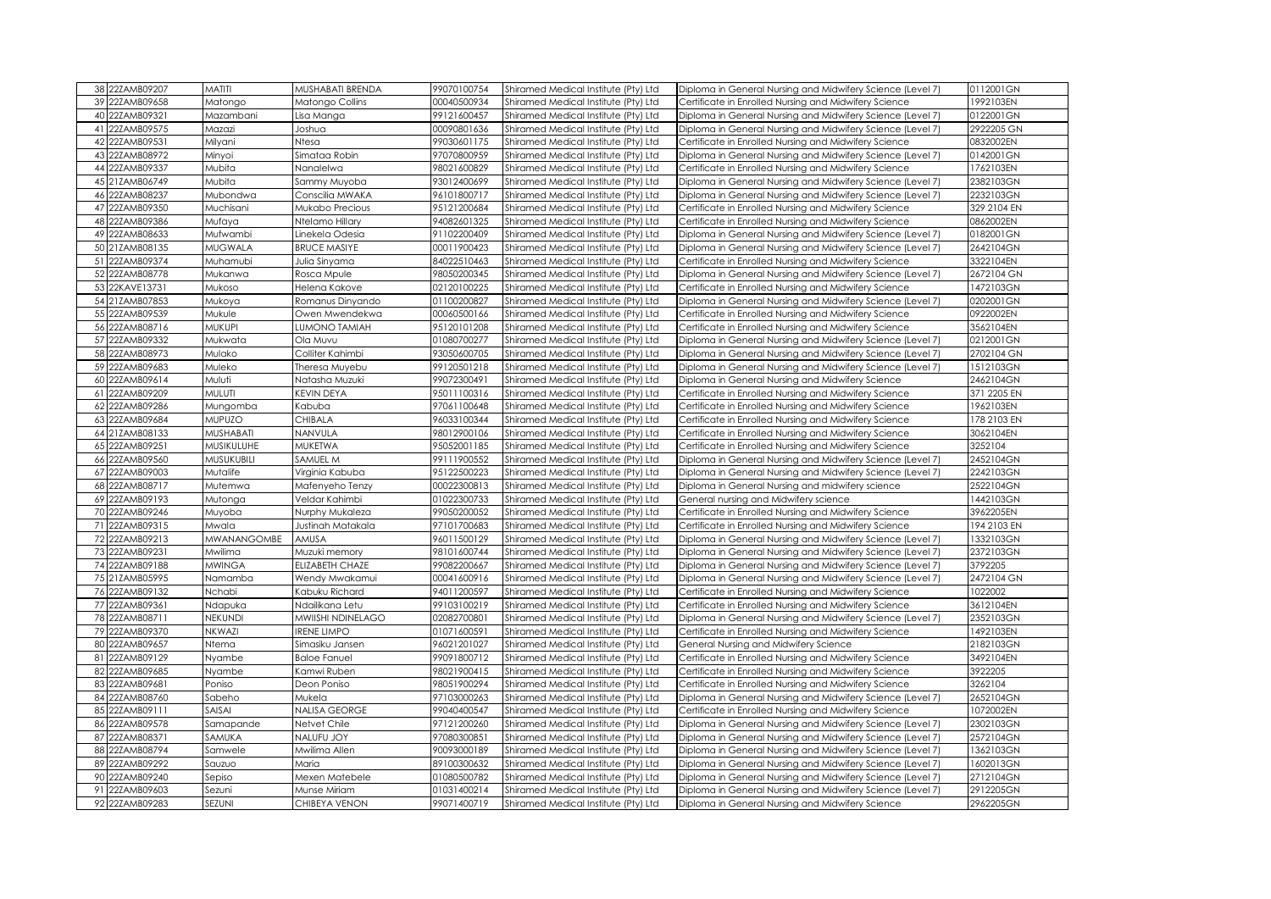| 38 22ZAMB09207<br><b>MATITI</b><br>MUSHABATI BRENDA<br>99070100754<br>Shiramed Medical Institute (Pty) Ltd<br>Diploma in General Nursing and Midwifery Science (Level 7)<br>39 22ZAMB09658<br>00040500934<br>Shiramed Medical Institute (Pty) Ltd<br>Certificate in Enrolled Nursing and Midwifery Science<br>Matongo<br>Matongo Collins<br>40 22ZAMB09321<br>Mazambani<br>99121600457<br>Shiramed Medical Institute (Pty) Ltd<br>Diploma in General Nursing and Midwifery Science (Level 7)<br>Lisa Manga<br>41 22ZAMB09575<br>00090801636<br>Mazazi<br>Shiramed Medical Institute (Pty) Ltd<br>Diploma in General Nursing and Midwifery Science (Level 7)<br>Joshua<br>42 22ZAMB09531<br>Milyani<br>99030601175<br>Certificate in Enrolled Nursing and Midwifery Science<br>Ntesa<br>Shiramed Medical Institute (Pty) Ltd<br>43 22ZAMB08972<br>Minyoi<br>Simataa Robin<br>97070800959<br>Shiramed Medical Institute (Pty) Ltd<br>Diploma in General Nursing and Midwifery Science (Level 7)<br>44 22ZAMB09337<br>98021600829<br>Mubita<br>Certificate in Enrolled Nursing and Midwifery Science<br>Nanalelwa<br>Shiramed Medical Institute (Pty) Ltd<br>45 21ZAMB06749<br>93012400699<br>Mubita<br>Sammy Muyoba<br>Shiramed Medical Institute (Pty) Ltd<br>Diploma in General Nursing and Midwifery Science (Level 7)<br>46 22ZAMB08237<br>96101800717<br>Mubondwa<br>Conscilia MWAKA<br>Shiramed Medical Institute (Pty) Ltd<br>Diploma in General Nursing and Midwifery Science (Level 7)<br>47 22ZAMB09350<br>Muchisani<br>Mukabo Precious<br>95121200684<br>Shiramed Medical Institute (Pty) Ltd<br>Certificate in Enrolled Nursing and Midwifery Science<br>48 22ZAMB09386<br>94082601325<br>Certificate in Enrolled Nursing and Midwifery Science<br>Mufaya<br>Ntelamo Hillary<br>Shiramed Medical Institute (Pty) Ltd<br>49 22ZAMB08633<br>91102200409<br>Shiramed Medical Institute (Pty) Ltd<br>Mufwambi<br>Diploma in General Nursing and Midwifery Science (Level 7)<br>Linekela Odesia<br>50 21ZAMB08135<br><b>MUGWALA</b><br><b>BRUCE MASIYE</b><br>00011900423<br>Shiramed Medical Institute (Pty) Ltd<br>Diploma in General Nursing and Midwifery Science (Level 7)<br>51 22ZAMB09374<br>Muhamubi<br>84022510463<br>Shiramed Medical Institute (Pty) Ltd<br>Certificate in Enrolled Nursing and Midwifery Science<br>Julia Sinyama<br>52 22ZAMB08778<br>Mukanwa<br>Rosca Mpule<br>98050200345<br>Diploma in General Nursing and Midwifery Science (Level 7)<br>Shiramed Medical Institute (Pty) Ltd<br>53 22KAVE13731<br>02120100225<br>Certificate in Enrolled Nursing and Midwifery Science<br>Mukoso<br>Helena Kakove<br>Shiramed Medical Institute (Pty) Ltd<br>54 21ZAMB07853<br>Mukoya<br>Romanus Dinyando<br>01100200827<br>Shiramed Medical Institute (Pty) Ltd<br>Diploma in General Nursing and Midwifery Science (Level 7)<br>55 22ZAMB09539<br>Mukule<br>Owen Mwendekwa<br>00060500166<br>Shiramed Medical Institute (Pty) Ltd<br>Certificate in Enrolled Nursing and Midwifery Science<br>56 22ZAMB08716<br>MUKUPI<br>LUMONO TAMIAH<br>95120101208<br>Certificate in Enrolled Nursing and Midwifery Science<br>Shiramed Medical Institute (Pty) Ltd<br>57 22ZAMB09332<br>Mukwata<br>Ola Muvu<br>01080700277<br>Shiramed Medical Institute (Pty) Ltd<br>Diploma in General Nursing and Midwifery Science (Level 7)<br>58 22ZAMB08973<br>Mulako<br>93050600705<br>Colliter Kahimbi<br>Shiramed Medical Institute (Pty) Ltd<br>Diploma in General Nursing and Midwifery Science (Level 7)<br>59 22ZAMB09683<br>Muleko<br>Theresa Muyebu<br>99120501218<br>Shiramed Medical Institute (Pty) Ltd<br>Diploma in General Nursing and Midwifery Science (Level 7)<br>60 22ZAMB09614<br>Muluti<br>99072300491<br>Natasha Muzuki<br>Shiramed Medical Institute (Pty) Ltd<br>Diploma in General Nursing and Midwifery Science<br>61 22ZAMB09209<br>MULUTI<br>KEVIN DEYA<br>95011100316<br>Shiramed Medical Institute (Pty) Ltd<br>Certificate in Enrolled Nursing and Midwifery Science<br>62 22ZAMB09286<br>97061100648<br>Kabuba<br>Shiramed Medical Institute (Pty) Ltd<br>Certificate in Enrolled Nursing and Midwifery Science<br>Mungomba<br>63 22ZAMB09684<br><b>MUPUZO</b><br><b>CHIBALA</b><br>96033100344<br>Shiramed Medical Institute (Pty) Ltd<br>Certificate in Enrolled Nursing and Midwifery Science<br>64 21ZAMB08133<br>MUSHABATI<br>NANVULA<br>98012900106<br>Certificate in Enrolled Nursing and Midwifery Science<br>Shiramed Medical Institute (Pty) Ltd<br>65 22ZAMB09251<br>MUSIKULUHE<br>95052001185<br>MUKETWA<br>Shiramed Medical Institute (Pty) Ltd<br>Certificate in Enrolled Nursing and Midwifery Science<br>66 22ZAMB09560<br>MUSUKUBILI<br>SAMUEL M<br>99111900552<br>Diploma in General Nursing and Midwifery Science (Level 7)<br>Shiramed Medical Institute (Pty) Ltd<br>67 22ZAMB09003<br>95122500223<br>Mutalife<br>Virginia Kabuba<br>Shiramed Medical Institute (Pty) Ltd<br>Diploma in General Nursing and Midwifery Science (Level 7)<br>68 22ZAMB08717<br>Mutemwa<br>Mafenyeho Tenzy<br>00022300813<br>Shiramed Medical Institute (Pty) Ltd<br>Diploma in General Nursing and midwifery science<br>69 22ZAMB09193<br>Veldar Kahimbi<br>01022300733<br>Shiramed Medical Institute (Pty) Ltd<br>General nursing and Midwifery science<br>Mutonga<br>70 22ZAMB09246<br>99050200052<br>Muyoba<br>Nurphy Mukaleza<br>Shiramed Medical Institute (Pty) Ltd<br>Certificate in Enrolled Nursing and Midwifery Science<br>71 22ZAMB09315<br>97101700683<br>Mwala<br>Justinah Matakala<br>Shiramed Medical Institute (Pty) Ltd<br>Certificate in Enrolled Nursing and Midwifery Science<br>MWANANGOMBE<br>72 22ZAMB09213<br>AMUSA<br>96011500129<br>Diploma in General Nursing and Midwifery Science (Level 7)<br>Shiramed Medical Institute (Pty) Ltd<br>73 22ZAMB09231<br>98101600744<br>Mwilima<br>Muzuki memory<br>Shiramed Medical Institute (Pty) Ltd<br>Diploma in General Nursing and Midwifery Science (Level 7)<br>74 22ZAMB09188<br><b>MWINGA</b><br>99082200667<br>ELIZABETH CHAZE<br>Shiramed Medical Institute (Pty) Ltd<br>Diploma in General Nursing and Midwifery Science (Level 7)<br>75 21ZAMB05995<br>Namamba<br>Wendy Mwakamui<br>00041600916<br>Shiramed Medical Institute (Pty) Ltd<br>Diploma in General Nursing and Midwifery Science (Level 7)<br>76 22ZAMB09132<br>94011200597<br>Nchabi<br>Kabuku Richard<br>Shiramed Medical Institute (Pty) Ltd<br>Certificate in Enrolled Nursing and Midwifery Science<br>77 22ZAMB09361<br>99103100219<br>Shiramed Medical Institute (Pty) Ltd<br>Ndapuka<br>Ndailikana Letu<br>Certificate in Enrolled Nursing and Midwifery Science<br>78 22ZAMB08711<br>NEKUNDI<br>MWIISHI NDINELAGO<br>02082700801<br>Shiramed Medical Institute (Pty) Ltd<br>Diploma in General Nursing and Midwifery Science (Level 7)<br>79 22ZAMB09370<br>NKWAZI<br><b>IRENE LIMPO</b><br>01071600591<br>Shiramed Medical Institute (Pty) Ltd<br>Certificate in Enrolled Nursing and Midwifery Science<br>80 22ZAMB09657<br>Ntema<br>96021201027<br>General Nursing and Midwifery Science<br>Simasiku Jansen<br>Shiramed Medical Institute (Pty) Ltd<br>81 22ZAMB09129<br>99091800712<br>Nyambe<br><b>Baloe Fanuel</b><br>Shiramed Medical Institute (Pty) Ltd<br>Certificate in Enrolled Nursing and Midwifery Science<br>82 22ZAMB09685<br>Nyambe<br>Kamwi Ruben<br>98021900415<br>Shiramed Medical Institute (Pty) Ltd<br>Certificate in Enrolled Nursing and Midwifery Science<br>83 22ZAMB09681<br>Deon Poniso<br>98051900294<br>Poniso<br>Shiramed Medical Institute (Pty) Ltd<br>Certificate in Enrolled Nursing and Midwifery Science<br>84 22ZAMB08760<br>Sabeho<br>Mukela<br>97103000263<br>Shiramed Medical Institute (Pty) Ltd<br>Diploma in General Nursing and Midwifery Science (Level 7)<br>SAISAI<br>85 22ZAMB09111<br>NALISA GEORGE<br>99040400547<br>Shiramed Medical Institute (Pty) Ltd<br>Certificate in Enrolled Nursing and Midwifery Science<br>86 22ZAMB09578<br>Netvet Chile<br>97121200260<br>Diploma in General Nursing and Midwifery Science (Level 7)<br>Samapande<br>Shiramed Medical Institute (Pty) Ltd<br>87 22ZAMB08371<br>NALUFU JOY<br>SAMUKA<br>97080300851<br>Shiramed Medical Institute (Pty) Ltd<br>Diploma in General Nursing and Midwifery Science (Level 7)<br>88 22ZAMB08794<br>90093000189<br>Shiramed Medical Institute (Pty) Ltd<br>Diploma in General Nursing and Midwifery Science (Level 7)<br>Samwele<br>Mwilima Allen<br>89 22ZAMB09292<br>Diploma in General Nursing and Midwifery Science (Level 7)<br>Sauzuo<br>Maria<br>89100300632<br>Shiramed Medical Institute (Pty) Ltd<br>90 22ZAMB09240<br>01080500782<br>Shiramed Medical Institute (Pty) Ltd<br>Sepiso<br>Mexen Matebele<br>Diploma in General Nursing and Midwifery Science (Level 7)<br>91 22ZAMB09603<br>Sezuni<br>Munse Miriam<br>01031400214<br>Shiramed Medical Institute (Pty) Ltd<br>Diploma in General Nursing and Midwifery Science (Level 7) |                                                               |                                      |             |               |        |  |
|-------------------------------------------------------------------------------------------------------------------------------------------------------------------------------------------------------------------------------------------------------------------------------------------------------------------------------------------------------------------------------------------------------------------------------------------------------------------------------------------------------------------------------------------------------------------------------------------------------------------------------------------------------------------------------------------------------------------------------------------------------------------------------------------------------------------------------------------------------------------------------------------------------------------------------------------------------------------------------------------------------------------------------------------------------------------------------------------------------------------------------------------------------------------------------------------------------------------------------------------------------------------------------------------------------------------------------------------------------------------------------------------------------------------------------------------------------------------------------------------------------------------------------------------------------------------------------------------------------------------------------------------------------------------------------------------------------------------------------------------------------------------------------------------------------------------------------------------------------------------------------------------------------------------------------------------------------------------------------------------------------------------------------------------------------------------------------------------------------------------------------------------------------------------------------------------------------------------------------------------------------------------------------------------------------------------------------------------------------------------------------------------------------------------------------------------------------------------------------------------------------------------------------------------------------------------------------------------------------------------------------------------------------------------------------------------------------------------------------------------------------------------------------------------------------------------------------------------------------------------------------------------------------------------------------------------------------------------------------------------------------------------------------------------------------------------------------------------------------------------------------------------------------------------------------------------------------------------------------------------------------------------------------------------------------------------------------------------------------------------------------------------------------------------------------------------------------------------------------------------------------------------------------------------------------------------------------------------------------------------------------------------------------------------------------------------------------------------------------------------------------------------------------------------------------------------------------------------------------------------------------------------------------------------------------------------------------------------------------------------------------------------------------------------------------------------------------------------------------------------------------------------------------------------------------------------------------------------------------------------------------------------------------------------------------------------------------------------------------------------------------------------------------------------------------------------------------------------------------------------------------------------------------------------------------------------------------------------------------------------------------------------------------------------------------------------------------------------------------------------------------------------------------------------------------------------------------------------------------------------------------------------------------------------------------------------------------------------------------------------------------------------------------------------------------------------------------------------------------------------------------------------------------------------------------------------------------------------------------------------------------------------------------------------------------------------------------------------------------------------------------------------------------------------------------------------------------------------------------------------------------------------------------------------------------------------------------------------------------------------------------------------------------------------------------------------------------------------------------------------------------------------------------------------------------------------------------------------------------------------------------------------------------------------------------------------------------------------------------------------------------------------------------------------------------------------------------------------------------------------------------------------------------------------------------------------------------------------------------------------------------------------------------------------------------------------------------------------------------------------------------------------------------------------------------------------------------------------------------------------------------------------------------------------------------------------------------------------------------------------------------------------------------------------------------------------------------------------------------------------------------------------------------------------------------------------------------------------------------------------------------------------------------------------------------------------------------------------------------------------------------------------------------------------------------------------------------------------------------------------------------------------------------------------------------------------------------------------------------------------------------------------------------------------------------------------------------------------------------------------------------------------------------------------------------------------------------------------------------------------------------------------------------------------------------------------------------------------------------------------------------------------------------------------------------------------------------------------------------------------------------------------------------------------------------------------------------------------------------------------------------------------------------------------------------------------------------------------------------------------------------------------------------------------------------------------------------------------------------------------------------------------------------------------------------------------------------------------------------------------------------------------------------------------------------------------------------------------------------------------------------------------------------------------------------------------------------------------------------------------------------------------------------------------------------------------------------------------------------------------------------------------------------------------------------------------------------------------------------------------------------------------------------------------------------------------------------------------------------------------------------------------------------------------------------------------------------------------------|---------------------------------------------------------------|--------------------------------------|-------------|---------------|--------|--|
|                                                                                                                                                                                                                                                                                                                                                                                                                                                                                                                                                                                                                                                                                                                                                                                                                                                                                                                                                                                                                                                                                                                                                                                                                                                                                                                                                                                                                                                                                                                                                                                                                                                                                                                                                                                                                                                                                                                                                                                                                                                                                                                                                                                                                                                                                                                                                                                                                                                                                                                                                                                                                                                                                                                                                                                                                                                                                                                                                                                                                                                                                                                                                                                                                                                                                                                                                                                                                                                                                                                                                                                                                                                                                                                                                                                                                                                                                                                                                                                                                                                                                                                                                                                                                                                                                                                                                                                                                                                                                                                                                                                                                                                                                                                                                                                                                                                                                                                                                                                                                                                                                                                                                                                                                                                                                                                                                                                                                                                                                                                                                                                                                                                                                                                                                                                                                                                                                                                                                                                                                                                                                                                                                                                                                                                                                                                                                                                                                                                                                                                                                                                                                                                                                                                                                                                                                                                                                                                                                                                                                                                                                                                                                                                                                                                                                                                                                                                                                                                                                                                                                                                                                                                                                                                                                                                                                                                                                                                                                                                                                                                                                                                                                                                                                                                                                                                                                                                                                                                                                                                                                                                                                                                                                                                                                                                                                                                                                                                                                                         | 0112001GN                                                     |                                      |             |               |        |  |
|                                                                                                                                                                                                                                                                                                                                                                                                                                                                                                                                                                                                                                                                                                                                                                                                                                                                                                                                                                                                                                                                                                                                                                                                                                                                                                                                                                                                                                                                                                                                                                                                                                                                                                                                                                                                                                                                                                                                                                                                                                                                                                                                                                                                                                                                                                                                                                                                                                                                                                                                                                                                                                                                                                                                                                                                                                                                                                                                                                                                                                                                                                                                                                                                                                                                                                                                                                                                                                                                                                                                                                                                                                                                                                                                                                                                                                                                                                                                                                                                                                                                                                                                                                                                                                                                                                                                                                                                                                                                                                                                                                                                                                                                                                                                                                                                                                                                                                                                                                                                                                                                                                                                                                                                                                                                                                                                                                                                                                                                                                                                                                                                                                                                                                                                                                                                                                                                                                                                                                                                                                                                                                                                                                                                                                                                                                                                                                                                                                                                                                                                                                                                                                                                                                                                                                                                                                                                                                                                                                                                                                                                                                                                                                                                                                                                                                                                                                                                                                                                                                                                                                                                                                                                                                                                                                                                                                                                                                                                                                                                                                                                                                                                                                                                                                                                                                                                                                                                                                                                                                                                                                                                                                                                                                                                                                                                                                                                                                                                                                         | 1992103EN                                                     |                                      |             |               |        |  |
|                                                                                                                                                                                                                                                                                                                                                                                                                                                                                                                                                                                                                                                                                                                                                                                                                                                                                                                                                                                                                                                                                                                                                                                                                                                                                                                                                                                                                                                                                                                                                                                                                                                                                                                                                                                                                                                                                                                                                                                                                                                                                                                                                                                                                                                                                                                                                                                                                                                                                                                                                                                                                                                                                                                                                                                                                                                                                                                                                                                                                                                                                                                                                                                                                                                                                                                                                                                                                                                                                                                                                                                                                                                                                                                                                                                                                                                                                                                                                                                                                                                                                                                                                                                                                                                                                                                                                                                                                                                                                                                                                                                                                                                                                                                                                                                                                                                                                                                                                                                                                                                                                                                                                                                                                                                                                                                                                                                                                                                                                                                                                                                                                                                                                                                                                                                                                                                                                                                                                                                                                                                                                                                                                                                                                                                                                                                                                                                                                                                                                                                                                                                                                                                                                                                                                                                                                                                                                                                                                                                                                                                                                                                                                                                                                                                                                                                                                                                                                                                                                                                                                                                                                                                                                                                                                                                                                                                                                                                                                                                                                                                                                                                                                                                                                                                                                                                                                                                                                                                                                                                                                                                                                                                                                                                                                                                                                                                                                                                                                                         | 0122001GN                                                     |                                      |             |               |        |  |
|                                                                                                                                                                                                                                                                                                                                                                                                                                                                                                                                                                                                                                                                                                                                                                                                                                                                                                                                                                                                                                                                                                                                                                                                                                                                                                                                                                                                                                                                                                                                                                                                                                                                                                                                                                                                                                                                                                                                                                                                                                                                                                                                                                                                                                                                                                                                                                                                                                                                                                                                                                                                                                                                                                                                                                                                                                                                                                                                                                                                                                                                                                                                                                                                                                                                                                                                                                                                                                                                                                                                                                                                                                                                                                                                                                                                                                                                                                                                                                                                                                                                                                                                                                                                                                                                                                                                                                                                                                                                                                                                                                                                                                                                                                                                                                                                                                                                                                                                                                                                                                                                                                                                                                                                                                                                                                                                                                                                                                                                                                                                                                                                                                                                                                                                                                                                                                                                                                                                                                                                                                                                                                                                                                                                                                                                                                                                                                                                                                                                                                                                                                                                                                                                                                                                                                                                                                                                                                                                                                                                                                                                                                                                                                                                                                                                                                                                                                                                                                                                                                                                                                                                                                                                                                                                                                                                                                                                                                                                                                                                                                                                                                                                                                                                                                                                                                                                                                                                                                                                                                                                                                                                                                                                                                                                                                                                                                                                                                                                                                         | 2922205 GN                                                    |                                      |             |               |        |  |
|                                                                                                                                                                                                                                                                                                                                                                                                                                                                                                                                                                                                                                                                                                                                                                                                                                                                                                                                                                                                                                                                                                                                                                                                                                                                                                                                                                                                                                                                                                                                                                                                                                                                                                                                                                                                                                                                                                                                                                                                                                                                                                                                                                                                                                                                                                                                                                                                                                                                                                                                                                                                                                                                                                                                                                                                                                                                                                                                                                                                                                                                                                                                                                                                                                                                                                                                                                                                                                                                                                                                                                                                                                                                                                                                                                                                                                                                                                                                                                                                                                                                                                                                                                                                                                                                                                                                                                                                                                                                                                                                                                                                                                                                                                                                                                                                                                                                                                                                                                                                                                                                                                                                                                                                                                                                                                                                                                                                                                                                                                                                                                                                                                                                                                                                                                                                                                                                                                                                                                                                                                                                                                                                                                                                                                                                                                                                                                                                                                                                                                                                                                                                                                                                                                                                                                                                                                                                                                                                                                                                                                                                                                                                                                                                                                                                                                                                                                                                                                                                                                                                                                                                                                                                                                                                                                                                                                                                                                                                                                                                                                                                                                                                                                                                                                                                                                                                                                                                                                                                                                                                                                                                                                                                                                                                                                                                                                                                                                                                                                         | 0832002EN                                                     |                                      |             |               |        |  |
|                                                                                                                                                                                                                                                                                                                                                                                                                                                                                                                                                                                                                                                                                                                                                                                                                                                                                                                                                                                                                                                                                                                                                                                                                                                                                                                                                                                                                                                                                                                                                                                                                                                                                                                                                                                                                                                                                                                                                                                                                                                                                                                                                                                                                                                                                                                                                                                                                                                                                                                                                                                                                                                                                                                                                                                                                                                                                                                                                                                                                                                                                                                                                                                                                                                                                                                                                                                                                                                                                                                                                                                                                                                                                                                                                                                                                                                                                                                                                                                                                                                                                                                                                                                                                                                                                                                                                                                                                                                                                                                                                                                                                                                                                                                                                                                                                                                                                                                                                                                                                                                                                                                                                                                                                                                                                                                                                                                                                                                                                                                                                                                                                                                                                                                                                                                                                                                                                                                                                                                                                                                                                                                                                                                                                                                                                                                                                                                                                                                                                                                                                                                                                                                                                                                                                                                                                                                                                                                                                                                                                                                                                                                                                                                                                                                                                                                                                                                                                                                                                                                                                                                                                                                                                                                                                                                                                                                                                                                                                                                                                                                                                                                                                                                                                                                                                                                                                                                                                                                                                                                                                                                                                                                                                                                                                                                                                                                                                                                                                                         | 0142001GN                                                     |                                      |             |               |        |  |
|                                                                                                                                                                                                                                                                                                                                                                                                                                                                                                                                                                                                                                                                                                                                                                                                                                                                                                                                                                                                                                                                                                                                                                                                                                                                                                                                                                                                                                                                                                                                                                                                                                                                                                                                                                                                                                                                                                                                                                                                                                                                                                                                                                                                                                                                                                                                                                                                                                                                                                                                                                                                                                                                                                                                                                                                                                                                                                                                                                                                                                                                                                                                                                                                                                                                                                                                                                                                                                                                                                                                                                                                                                                                                                                                                                                                                                                                                                                                                                                                                                                                                                                                                                                                                                                                                                                                                                                                                                                                                                                                                                                                                                                                                                                                                                                                                                                                                                                                                                                                                                                                                                                                                                                                                                                                                                                                                                                                                                                                                                                                                                                                                                                                                                                                                                                                                                                                                                                                                                                                                                                                                                                                                                                                                                                                                                                                                                                                                                                                                                                                                                                                                                                                                                                                                                                                                                                                                                                                                                                                                                                                                                                                                                                                                                                                                                                                                                                                                                                                                                                                                                                                                                                                                                                                                                                                                                                                                                                                                                                                                                                                                                                                                                                                                                                                                                                                                                                                                                                                                                                                                                                                                                                                                                                                                                                                                                                                                                                                                                         | 1762103EN                                                     |                                      |             |               |        |  |
|                                                                                                                                                                                                                                                                                                                                                                                                                                                                                                                                                                                                                                                                                                                                                                                                                                                                                                                                                                                                                                                                                                                                                                                                                                                                                                                                                                                                                                                                                                                                                                                                                                                                                                                                                                                                                                                                                                                                                                                                                                                                                                                                                                                                                                                                                                                                                                                                                                                                                                                                                                                                                                                                                                                                                                                                                                                                                                                                                                                                                                                                                                                                                                                                                                                                                                                                                                                                                                                                                                                                                                                                                                                                                                                                                                                                                                                                                                                                                                                                                                                                                                                                                                                                                                                                                                                                                                                                                                                                                                                                                                                                                                                                                                                                                                                                                                                                                                                                                                                                                                                                                                                                                                                                                                                                                                                                                                                                                                                                                                                                                                                                                                                                                                                                                                                                                                                                                                                                                                                                                                                                                                                                                                                                                                                                                                                                                                                                                                                                                                                                                                                                                                                                                                                                                                                                                                                                                                                                                                                                                                                                                                                                                                                                                                                                                                                                                                                                                                                                                                                                                                                                                                                                                                                                                                                                                                                                                                                                                                                                                                                                                                                                                                                                                                                                                                                                                                                                                                                                                                                                                                                                                                                                                                                                                                                                                                                                                                                                                                         | 2382103GN                                                     |                                      |             |               |        |  |
|                                                                                                                                                                                                                                                                                                                                                                                                                                                                                                                                                                                                                                                                                                                                                                                                                                                                                                                                                                                                                                                                                                                                                                                                                                                                                                                                                                                                                                                                                                                                                                                                                                                                                                                                                                                                                                                                                                                                                                                                                                                                                                                                                                                                                                                                                                                                                                                                                                                                                                                                                                                                                                                                                                                                                                                                                                                                                                                                                                                                                                                                                                                                                                                                                                                                                                                                                                                                                                                                                                                                                                                                                                                                                                                                                                                                                                                                                                                                                                                                                                                                                                                                                                                                                                                                                                                                                                                                                                                                                                                                                                                                                                                                                                                                                                                                                                                                                                                                                                                                                                                                                                                                                                                                                                                                                                                                                                                                                                                                                                                                                                                                                                                                                                                                                                                                                                                                                                                                                                                                                                                                                                                                                                                                                                                                                                                                                                                                                                                                                                                                                                                                                                                                                                                                                                                                                                                                                                                                                                                                                                                                                                                                                                                                                                                                                                                                                                                                                                                                                                                                                                                                                                                                                                                                                                                                                                                                                                                                                                                                                                                                                                                                                                                                                                                                                                                                                                                                                                                                                                                                                                                                                                                                                                                                                                                                                                                                                                                                                                         | 2232103GN                                                     |                                      |             |               |        |  |
|                                                                                                                                                                                                                                                                                                                                                                                                                                                                                                                                                                                                                                                                                                                                                                                                                                                                                                                                                                                                                                                                                                                                                                                                                                                                                                                                                                                                                                                                                                                                                                                                                                                                                                                                                                                                                                                                                                                                                                                                                                                                                                                                                                                                                                                                                                                                                                                                                                                                                                                                                                                                                                                                                                                                                                                                                                                                                                                                                                                                                                                                                                                                                                                                                                                                                                                                                                                                                                                                                                                                                                                                                                                                                                                                                                                                                                                                                                                                                                                                                                                                                                                                                                                                                                                                                                                                                                                                                                                                                                                                                                                                                                                                                                                                                                                                                                                                                                                                                                                                                                                                                                                                                                                                                                                                                                                                                                                                                                                                                                                                                                                                                                                                                                                                                                                                                                                                                                                                                                                                                                                                                                                                                                                                                                                                                                                                                                                                                                                                                                                                                                                                                                                                                                                                                                                                                                                                                                                                                                                                                                                                                                                                                                                                                                                                                                                                                                                                                                                                                                                                                                                                                                                                                                                                                                                                                                                                                                                                                                                                                                                                                                                                                                                                                                                                                                                                                                                                                                                                                                                                                                                                                                                                                                                                                                                                                                                                                                                                                                         | 329 2104 EN                                                   |                                      |             |               |        |  |
|                                                                                                                                                                                                                                                                                                                                                                                                                                                                                                                                                                                                                                                                                                                                                                                                                                                                                                                                                                                                                                                                                                                                                                                                                                                                                                                                                                                                                                                                                                                                                                                                                                                                                                                                                                                                                                                                                                                                                                                                                                                                                                                                                                                                                                                                                                                                                                                                                                                                                                                                                                                                                                                                                                                                                                                                                                                                                                                                                                                                                                                                                                                                                                                                                                                                                                                                                                                                                                                                                                                                                                                                                                                                                                                                                                                                                                                                                                                                                                                                                                                                                                                                                                                                                                                                                                                                                                                                                                                                                                                                                                                                                                                                                                                                                                                                                                                                                                                                                                                                                                                                                                                                                                                                                                                                                                                                                                                                                                                                                                                                                                                                                                                                                                                                                                                                                                                                                                                                                                                                                                                                                                                                                                                                                                                                                                                                                                                                                                                                                                                                                                                                                                                                                                                                                                                                                                                                                                                                                                                                                                                                                                                                                                                                                                                                                                                                                                                                                                                                                                                                                                                                                                                                                                                                                                                                                                                                                                                                                                                                                                                                                                                                                                                                                                                                                                                                                                                                                                                                                                                                                                                                                                                                                                                                                                                                                                                                                                                                                                         | 0862002EN                                                     |                                      |             |               |        |  |
|                                                                                                                                                                                                                                                                                                                                                                                                                                                                                                                                                                                                                                                                                                                                                                                                                                                                                                                                                                                                                                                                                                                                                                                                                                                                                                                                                                                                                                                                                                                                                                                                                                                                                                                                                                                                                                                                                                                                                                                                                                                                                                                                                                                                                                                                                                                                                                                                                                                                                                                                                                                                                                                                                                                                                                                                                                                                                                                                                                                                                                                                                                                                                                                                                                                                                                                                                                                                                                                                                                                                                                                                                                                                                                                                                                                                                                                                                                                                                                                                                                                                                                                                                                                                                                                                                                                                                                                                                                                                                                                                                                                                                                                                                                                                                                                                                                                                                                                                                                                                                                                                                                                                                                                                                                                                                                                                                                                                                                                                                                                                                                                                                                                                                                                                                                                                                                                                                                                                                                                                                                                                                                                                                                                                                                                                                                                                                                                                                                                                                                                                                                                                                                                                                                                                                                                                                                                                                                                                                                                                                                                                                                                                                                                                                                                                                                                                                                                                                                                                                                                                                                                                                                                                                                                                                                                                                                                                                                                                                                                                                                                                                                                                                                                                                                                                                                                                                                                                                                                                                                                                                                                                                                                                                                                                                                                                                                                                                                                                                                         | 0182001GN                                                     |                                      |             |               |        |  |
|                                                                                                                                                                                                                                                                                                                                                                                                                                                                                                                                                                                                                                                                                                                                                                                                                                                                                                                                                                                                                                                                                                                                                                                                                                                                                                                                                                                                                                                                                                                                                                                                                                                                                                                                                                                                                                                                                                                                                                                                                                                                                                                                                                                                                                                                                                                                                                                                                                                                                                                                                                                                                                                                                                                                                                                                                                                                                                                                                                                                                                                                                                                                                                                                                                                                                                                                                                                                                                                                                                                                                                                                                                                                                                                                                                                                                                                                                                                                                                                                                                                                                                                                                                                                                                                                                                                                                                                                                                                                                                                                                                                                                                                                                                                                                                                                                                                                                                                                                                                                                                                                                                                                                                                                                                                                                                                                                                                                                                                                                                                                                                                                                                                                                                                                                                                                                                                                                                                                                                                                                                                                                                                                                                                                                                                                                                                                                                                                                                                                                                                                                                                                                                                                                                                                                                                                                                                                                                                                                                                                                                                                                                                                                                                                                                                                                                                                                                                                                                                                                                                                                                                                                                                                                                                                                                                                                                                                                                                                                                                                                                                                                                                                                                                                                                                                                                                                                                                                                                                                                                                                                                                                                                                                                                                                                                                                                                                                                                                                                                         | 2642104GN                                                     |                                      |             |               |        |  |
|                                                                                                                                                                                                                                                                                                                                                                                                                                                                                                                                                                                                                                                                                                                                                                                                                                                                                                                                                                                                                                                                                                                                                                                                                                                                                                                                                                                                                                                                                                                                                                                                                                                                                                                                                                                                                                                                                                                                                                                                                                                                                                                                                                                                                                                                                                                                                                                                                                                                                                                                                                                                                                                                                                                                                                                                                                                                                                                                                                                                                                                                                                                                                                                                                                                                                                                                                                                                                                                                                                                                                                                                                                                                                                                                                                                                                                                                                                                                                                                                                                                                                                                                                                                                                                                                                                                                                                                                                                                                                                                                                                                                                                                                                                                                                                                                                                                                                                                                                                                                                                                                                                                                                                                                                                                                                                                                                                                                                                                                                                                                                                                                                                                                                                                                                                                                                                                                                                                                                                                                                                                                                                                                                                                                                                                                                                                                                                                                                                                                                                                                                                                                                                                                                                                                                                                                                                                                                                                                                                                                                                                                                                                                                                                                                                                                                                                                                                                                                                                                                                                                                                                                                                                                                                                                                                                                                                                                                                                                                                                                                                                                                                                                                                                                                                                                                                                                                                                                                                                                                                                                                                                                                                                                                                                                                                                                                                                                                                                                                                         | 3322104EN                                                     |                                      |             |               |        |  |
|                                                                                                                                                                                                                                                                                                                                                                                                                                                                                                                                                                                                                                                                                                                                                                                                                                                                                                                                                                                                                                                                                                                                                                                                                                                                                                                                                                                                                                                                                                                                                                                                                                                                                                                                                                                                                                                                                                                                                                                                                                                                                                                                                                                                                                                                                                                                                                                                                                                                                                                                                                                                                                                                                                                                                                                                                                                                                                                                                                                                                                                                                                                                                                                                                                                                                                                                                                                                                                                                                                                                                                                                                                                                                                                                                                                                                                                                                                                                                                                                                                                                                                                                                                                                                                                                                                                                                                                                                                                                                                                                                                                                                                                                                                                                                                                                                                                                                                                                                                                                                                                                                                                                                                                                                                                                                                                                                                                                                                                                                                                                                                                                                                                                                                                                                                                                                                                                                                                                                                                                                                                                                                                                                                                                                                                                                                                                                                                                                                                                                                                                                                                                                                                                                                                                                                                                                                                                                                                                                                                                                                                                                                                                                                                                                                                                                                                                                                                                                                                                                                                                                                                                                                                                                                                                                                                                                                                                                                                                                                                                                                                                                                                                                                                                                                                                                                                                                                                                                                                                                                                                                                                                                                                                                                                                                                                                                                                                                                                                                                         | 2672104 GN                                                    |                                      |             |               |        |  |
|                                                                                                                                                                                                                                                                                                                                                                                                                                                                                                                                                                                                                                                                                                                                                                                                                                                                                                                                                                                                                                                                                                                                                                                                                                                                                                                                                                                                                                                                                                                                                                                                                                                                                                                                                                                                                                                                                                                                                                                                                                                                                                                                                                                                                                                                                                                                                                                                                                                                                                                                                                                                                                                                                                                                                                                                                                                                                                                                                                                                                                                                                                                                                                                                                                                                                                                                                                                                                                                                                                                                                                                                                                                                                                                                                                                                                                                                                                                                                                                                                                                                                                                                                                                                                                                                                                                                                                                                                                                                                                                                                                                                                                                                                                                                                                                                                                                                                                                                                                                                                                                                                                                                                                                                                                                                                                                                                                                                                                                                                                                                                                                                                                                                                                                                                                                                                                                                                                                                                                                                                                                                                                                                                                                                                                                                                                                                                                                                                                                                                                                                                                                                                                                                                                                                                                                                                                                                                                                                                                                                                                                                                                                                                                                                                                                                                                                                                                                                                                                                                                                                                                                                                                                                                                                                                                                                                                                                                                                                                                                                                                                                                                                                                                                                                                                                                                                                                                                                                                                                                                                                                                                                                                                                                                                                                                                                                                                                                                                                                                         | 1472103GN                                                     |                                      |             |               |        |  |
|                                                                                                                                                                                                                                                                                                                                                                                                                                                                                                                                                                                                                                                                                                                                                                                                                                                                                                                                                                                                                                                                                                                                                                                                                                                                                                                                                                                                                                                                                                                                                                                                                                                                                                                                                                                                                                                                                                                                                                                                                                                                                                                                                                                                                                                                                                                                                                                                                                                                                                                                                                                                                                                                                                                                                                                                                                                                                                                                                                                                                                                                                                                                                                                                                                                                                                                                                                                                                                                                                                                                                                                                                                                                                                                                                                                                                                                                                                                                                                                                                                                                                                                                                                                                                                                                                                                                                                                                                                                                                                                                                                                                                                                                                                                                                                                                                                                                                                                                                                                                                                                                                                                                                                                                                                                                                                                                                                                                                                                                                                                                                                                                                                                                                                                                                                                                                                                                                                                                                                                                                                                                                                                                                                                                                                                                                                                                                                                                                                                                                                                                                                                                                                                                                                                                                                                                                                                                                                                                                                                                                                                                                                                                                                                                                                                                                                                                                                                                                                                                                                                                                                                                                                                                                                                                                                                                                                                                                                                                                                                                                                                                                                                                                                                                                                                                                                                                                                                                                                                                                                                                                                                                                                                                                                                                                                                                                                                                                                                                                                         | 0202001GN                                                     |                                      |             |               |        |  |
|                                                                                                                                                                                                                                                                                                                                                                                                                                                                                                                                                                                                                                                                                                                                                                                                                                                                                                                                                                                                                                                                                                                                                                                                                                                                                                                                                                                                                                                                                                                                                                                                                                                                                                                                                                                                                                                                                                                                                                                                                                                                                                                                                                                                                                                                                                                                                                                                                                                                                                                                                                                                                                                                                                                                                                                                                                                                                                                                                                                                                                                                                                                                                                                                                                                                                                                                                                                                                                                                                                                                                                                                                                                                                                                                                                                                                                                                                                                                                                                                                                                                                                                                                                                                                                                                                                                                                                                                                                                                                                                                                                                                                                                                                                                                                                                                                                                                                                                                                                                                                                                                                                                                                                                                                                                                                                                                                                                                                                                                                                                                                                                                                                                                                                                                                                                                                                                                                                                                                                                                                                                                                                                                                                                                                                                                                                                                                                                                                                                                                                                                                                                                                                                                                                                                                                                                                                                                                                                                                                                                                                                                                                                                                                                                                                                                                                                                                                                                                                                                                                                                                                                                                                                                                                                                                                                                                                                                                                                                                                                                                                                                                                                                                                                                                                                                                                                                                                                                                                                                                                                                                                                                                                                                                                                                                                                                                                                                                                                                                                         | 0922002EN                                                     |                                      |             |               |        |  |
|                                                                                                                                                                                                                                                                                                                                                                                                                                                                                                                                                                                                                                                                                                                                                                                                                                                                                                                                                                                                                                                                                                                                                                                                                                                                                                                                                                                                                                                                                                                                                                                                                                                                                                                                                                                                                                                                                                                                                                                                                                                                                                                                                                                                                                                                                                                                                                                                                                                                                                                                                                                                                                                                                                                                                                                                                                                                                                                                                                                                                                                                                                                                                                                                                                                                                                                                                                                                                                                                                                                                                                                                                                                                                                                                                                                                                                                                                                                                                                                                                                                                                                                                                                                                                                                                                                                                                                                                                                                                                                                                                                                                                                                                                                                                                                                                                                                                                                                                                                                                                                                                                                                                                                                                                                                                                                                                                                                                                                                                                                                                                                                                                                                                                                                                                                                                                                                                                                                                                                                                                                                                                                                                                                                                                                                                                                                                                                                                                                                                                                                                                                                                                                                                                                                                                                                                                                                                                                                                                                                                                                                                                                                                                                                                                                                                                                                                                                                                                                                                                                                                                                                                                                                                                                                                                                                                                                                                                                                                                                                                                                                                                                                                                                                                                                                                                                                                                                                                                                                                                                                                                                                                                                                                                                                                                                                                                                                                                                                                                                         | 3562104EN                                                     |                                      |             |               |        |  |
|                                                                                                                                                                                                                                                                                                                                                                                                                                                                                                                                                                                                                                                                                                                                                                                                                                                                                                                                                                                                                                                                                                                                                                                                                                                                                                                                                                                                                                                                                                                                                                                                                                                                                                                                                                                                                                                                                                                                                                                                                                                                                                                                                                                                                                                                                                                                                                                                                                                                                                                                                                                                                                                                                                                                                                                                                                                                                                                                                                                                                                                                                                                                                                                                                                                                                                                                                                                                                                                                                                                                                                                                                                                                                                                                                                                                                                                                                                                                                                                                                                                                                                                                                                                                                                                                                                                                                                                                                                                                                                                                                                                                                                                                                                                                                                                                                                                                                                                                                                                                                                                                                                                                                                                                                                                                                                                                                                                                                                                                                                                                                                                                                                                                                                                                                                                                                                                                                                                                                                                                                                                                                                                                                                                                                                                                                                                                                                                                                                                                                                                                                                                                                                                                                                                                                                                                                                                                                                                                                                                                                                                                                                                                                                                                                                                                                                                                                                                                                                                                                                                                                                                                                                                                                                                                                                                                                                                                                                                                                                                                                                                                                                                                                                                                                                                                                                                                                                                                                                                                                                                                                                                                                                                                                                                                                                                                                                                                                                                                                                         | 0212001GN                                                     |                                      |             |               |        |  |
|                                                                                                                                                                                                                                                                                                                                                                                                                                                                                                                                                                                                                                                                                                                                                                                                                                                                                                                                                                                                                                                                                                                                                                                                                                                                                                                                                                                                                                                                                                                                                                                                                                                                                                                                                                                                                                                                                                                                                                                                                                                                                                                                                                                                                                                                                                                                                                                                                                                                                                                                                                                                                                                                                                                                                                                                                                                                                                                                                                                                                                                                                                                                                                                                                                                                                                                                                                                                                                                                                                                                                                                                                                                                                                                                                                                                                                                                                                                                                                                                                                                                                                                                                                                                                                                                                                                                                                                                                                                                                                                                                                                                                                                                                                                                                                                                                                                                                                                                                                                                                                                                                                                                                                                                                                                                                                                                                                                                                                                                                                                                                                                                                                                                                                                                                                                                                                                                                                                                                                                                                                                                                                                                                                                                                                                                                                                                                                                                                                                                                                                                                                                                                                                                                                                                                                                                                                                                                                                                                                                                                                                                                                                                                                                                                                                                                                                                                                                                                                                                                                                                                                                                                                                                                                                                                                                                                                                                                                                                                                                                                                                                                                                                                                                                                                                                                                                                                                                                                                                                                                                                                                                                                                                                                                                                                                                                                                                                                                                                                                         | 2702104 GN                                                    |                                      |             |               |        |  |
|                                                                                                                                                                                                                                                                                                                                                                                                                                                                                                                                                                                                                                                                                                                                                                                                                                                                                                                                                                                                                                                                                                                                                                                                                                                                                                                                                                                                                                                                                                                                                                                                                                                                                                                                                                                                                                                                                                                                                                                                                                                                                                                                                                                                                                                                                                                                                                                                                                                                                                                                                                                                                                                                                                                                                                                                                                                                                                                                                                                                                                                                                                                                                                                                                                                                                                                                                                                                                                                                                                                                                                                                                                                                                                                                                                                                                                                                                                                                                                                                                                                                                                                                                                                                                                                                                                                                                                                                                                                                                                                                                                                                                                                                                                                                                                                                                                                                                                                                                                                                                                                                                                                                                                                                                                                                                                                                                                                                                                                                                                                                                                                                                                                                                                                                                                                                                                                                                                                                                                                                                                                                                                                                                                                                                                                                                                                                                                                                                                                                                                                                                                                                                                                                                                                                                                                                                                                                                                                                                                                                                                                                                                                                                                                                                                                                                                                                                                                                                                                                                                                                                                                                                                                                                                                                                                                                                                                                                                                                                                                                                                                                                                                                                                                                                                                                                                                                                                                                                                                                                                                                                                                                                                                                                                                                                                                                                                                                                                                                                                         | 1512103GN                                                     |                                      |             |               |        |  |
|                                                                                                                                                                                                                                                                                                                                                                                                                                                                                                                                                                                                                                                                                                                                                                                                                                                                                                                                                                                                                                                                                                                                                                                                                                                                                                                                                                                                                                                                                                                                                                                                                                                                                                                                                                                                                                                                                                                                                                                                                                                                                                                                                                                                                                                                                                                                                                                                                                                                                                                                                                                                                                                                                                                                                                                                                                                                                                                                                                                                                                                                                                                                                                                                                                                                                                                                                                                                                                                                                                                                                                                                                                                                                                                                                                                                                                                                                                                                                                                                                                                                                                                                                                                                                                                                                                                                                                                                                                                                                                                                                                                                                                                                                                                                                                                                                                                                                                                                                                                                                                                                                                                                                                                                                                                                                                                                                                                                                                                                                                                                                                                                                                                                                                                                                                                                                                                                                                                                                                                                                                                                                                                                                                                                                                                                                                                                                                                                                                                                                                                                                                                                                                                                                                                                                                                                                                                                                                                                                                                                                                                                                                                                                                                                                                                                                                                                                                                                                                                                                                                                                                                                                                                                                                                                                                                                                                                                                                                                                                                                                                                                                                                                                                                                                                                                                                                                                                                                                                                                                                                                                                                                                                                                                                                                                                                                                                                                                                                                                                         | 2462104GN                                                     |                                      |             |               |        |  |
|                                                                                                                                                                                                                                                                                                                                                                                                                                                                                                                                                                                                                                                                                                                                                                                                                                                                                                                                                                                                                                                                                                                                                                                                                                                                                                                                                                                                                                                                                                                                                                                                                                                                                                                                                                                                                                                                                                                                                                                                                                                                                                                                                                                                                                                                                                                                                                                                                                                                                                                                                                                                                                                                                                                                                                                                                                                                                                                                                                                                                                                                                                                                                                                                                                                                                                                                                                                                                                                                                                                                                                                                                                                                                                                                                                                                                                                                                                                                                                                                                                                                                                                                                                                                                                                                                                                                                                                                                                                                                                                                                                                                                                                                                                                                                                                                                                                                                                                                                                                                                                                                                                                                                                                                                                                                                                                                                                                                                                                                                                                                                                                                                                                                                                                                                                                                                                                                                                                                                                                                                                                                                                                                                                                                                                                                                                                                                                                                                                                                                                                                                                                                                                                                                                                                                                                                                                                                                                                                                                                                                                                                                                                                                                                                                                                                                                                                                                                                                                                                                                                                                                                                                                                                                                                                                                                                                                                                                                                                                                                                                                                                                                                                                                                                                                                                                                                                                                                                                                                                                                                                                                                                                                                                                                                                                                                                                                                                                                                                                                         | 371 2205 EN                                                   |                                      |             |               |        |  |
|                                                                                                                                                                                                                                                                                                                                                                                                                                                                                                                                                                                                                                                                                                                                                                                                                                                                                                                                                                                                                                                                                                                                                                                                                                                                                                                                                                                                                                                                                                                                                                                                                                                                                                                                                                                                                                                                                                                                                                                                                                                                                                                                                                                                                                                                                                                                                                                                                                                                                                                                                                                                                                                                                                                                                                                                                                                                                                                                                                                                                                                                                                                                                                                                                                                                                                                                                                                                                                                                                                                                                                                                                                                                                                                                                                                                                                                                                                                                                                                                                                                                                                                                                                                                                                                                                                                                                                                                                                                                                                                                                                                                                                                                                                                                                                                                                                                                                                                                                                                                                                                                                                                                                                                                                                                                                                                                                                                                                                                                                                                                                                                                                                                                                                                                                                                                                                                                                                                                                                                                                                                                                                                                                                                                                                                                                                                                                                                                                                                                                                                                                                                                                                                                                                                                                                                                                                                                                                                                                                                                                                                                                                                                                                                                                                                                                                                                                                                                                                                                                                                                                                                                                                                                                                                                                                                                                                                                                                                                                                                                                                                                                                                                                                                                                                                                                                                                                                                                                                                                                                                                                                                                                                                                                                                                                                                                                                                                                                                                                                         | 1962103EN                                                     |                                      |             |               |        |  |
|                                                                                                                                                                                                                                                                                                                                                                                                                                                                                                                                                                                                                                                                                                                                                                                                                                                                                                                                                                                                                                                                                                                                                                                                                                                                                                                                                                                                                                                                                                                                                                                                                                                                                                                                                                                                                                                                                                                                                                                                                                                                                                                                                                                                                                                                                                                                                                                                                                                                                                                                                                                                                                                                                                                                                                                                                                                                                                                                                                                                                                                                                                                                                                                                                                                                                                                                                                                                                                                                                                                                                                                                                                                                                                                                                                                                                                                                                                                                                                                                                                                                                                                                                                                                                                                                                                                                                                                                                                                                                                                                                                                                                                                                                                                                                                                                                                                                                                                                                                                                                                                                                                                                                                                                                                                                                                                                                                                                                                                                                                                                                                                                                                                                                                                                                                                                                                                                                                                                                                                                                                                                                                                                                                                                                                                                                                                                                                                                                                                                                                                                                                                                                                                                                                                                                                                                                                                                                                                                                                                                                                                                                                                                                                                                                                                                                                                                                                                                                                                                                                                                                                                                                                                                                                                                                                                                                                                                                                                                                                                                                                                                                                                                                                                                                                                                                                                                                                                                                                                                                                                                                                                                                                                                                                                                                                                                                                                                                                                                                                         | 178 2103 EN                                                   |                                      |             |               |        |  |
|                                                                                                                                                                                                                                                                                                                                                                                                                                                                                                                                                                                                                                                                                                                                                                                                                                                                                                                                                                                                                                                                                                                                                                                                                                                                                                                                                                                                                                                                                                                                                                                                                                                                                                                                                                                                                                                                                                                                                                                                                                                                                                                                                                                                                                                                                                                                                                                                                                                                                                                                                                                                                                                                                                                                                                                                                                                                                                                                                                                                                                                                                                                                                                                                                                                                                                                                                                                                                                                                                                                                                                                                                                                                                                                                                                                                                                                                                                                                                                                                                                                                                                                                                                                                                                                                                                                                                                                                                                                                                                                                                                                                                                                                                                                                                                                                                                                                                                                                                                                                                                                                                                                                                                                                                                                                                                                                                                                                                                                                                                                                                                                                                                                                                                                                                                                                                                                                                                                                                                                                                                                                                                                                                                                                                                                                                                                                                                                                                                                                                                                                                                                                                                                                                                                                                                                                                                                                                                                                                                                                                                                                                                                                                                                                                                                                                                                                                                                                                                                                                                                                                                                                                                                                                                                                                                                                                                                                                                                                                                                                                                                                                                                                                                                                                                                                                                                                                                                                                                                                                                                                                                                                                                                                                                                                                                                                                                                                                                                                                                         | 3062104EN                                                     |                                      |             |               |        |  |
|                                                                                                                                                                                                                                                                                                                                                                                                                                                                                                                                                                                                                                                                                                                                                                                                                                                                                                                                                                                                                                                                                                                                                                                                                                                                                                                                                                                                                                                                                                                                                                                                                                                                                                                                                                                                                                                                                                                                                                                                                                                                                                                                                                                                                                                                                                                                                                                                                                                                                                                                                                                                                                                                                                                                                                                                                                                                                                                                                                                                                                                                                                                                                                                                                                                                                                                                                                                                                                                                                                                                                                                                                                                                                                                                                                                                                                                                                                                                                                                                                                                                                                                                                                                                                                                                                                                                                                                                                                                                                                                                                                                                                                                                                                                                                                                                                                                                                                                                                                                                                                                                                                                                                                                                                                                                                                                                                                                                                                                                                                                                                                                                                                                                                                                                                                                                                                                                                                                                                                                                                                                                                                                                                                                                                                                                                                                                                                                                                                                                                                                                                                                                                                                                                                                                                                                                                                                                                                                                                                                                                                                                                                                                                                                                                                                                                                                                                                                                                                                                                                                                                                                                                                                                                                                                                                                                                                                                                                                                                                                                                                                                                                                                                                                                                                                                                                                                                                                                                                                                                                                                                                                                                                                                                                                                                                                                                                                                                                                                                                         | 3252104                                                       |                                      |             |               |        |  |
|                                                                                                                                                                                                                                                                                                                                                                                                                                                                                                                                                                                                                                                                                                                                                                                                                                                                                                                                                                                                                                                                                                                                                                                                                                                                                                                                                                                                                                                                                                                                                                                                                                                                                                                                                                                                                                                                                                                                                                                                                                                                                                                                                                                                                                                                                                                                                                                                                                                                                                                                                                                                                                                                                                                                                                                                                                                                                                                                                                                                                                                                                                                                                                                                                                                                                                                                                                                                                                                                                                                                                                                                                                                                                                                                                                                                                                                                                                                                                                                                                                                                                                                                                                                                                                                                                                                                                                                                                                                                                                                                                                                                                                                                                                                                                                                                                                                                                                                                                                                                                                                                                                                                                                                                                                                                                                                                                                                                                                                                                                                                                                                                                                                                                                                                                                                                                                                                                                                                                                                                                                                                                                                                                                                                                                                                                                                                                                                                                                                                                                                                                                                                                                                                                                                                                                                                                                                                                                                                                                                                                                                                                                                                                                                                                                                                                                                                                                                                                                                                                                                                                                                                                                                                                                                                                                                                                                                                                                                                                                                                                                                                                                                                                                                                                                                                                                                                                                                                                                                                                                                                                                                                                                                                                                                                                                                                                                                                                                                                                                         | 2452104GN                                                     |                                      |             |               |        |  |
|                                                                                                                                                                                                                                                                                                                                                                                                                                                                                                                                                                                                                                                                                                                                                                                                                                                                                                                                                                                                                                                                                                                                                                                                                                                                                                                                                                                                                                                                                                                                                                                                                                                                                                                                                                                                                                                                                                                                                                                                                                                                                                                                                                                                                                                                                                                                                                                                                                                                                                                                                                                                                                                                                                                                                                                                                                                                                                                                                                                                                                                                                                                                                                                                                                                                                                                                                                                                                                                                                                                                                                                                                                                                                                                                                                                                                                                                                                                                                                                                                                                                                                                                                                                                                                                                                                                                                                                                                                                                                                                                                                                                                                                                                                                                                                                                                                                                                                                                                                                                                                                                                                                                                                                                                                                                                                                                                                                                                                                                                                                                                                                                                                                                                                                                                                                                                                                                                                                                                                                                                                                                                                                                                                                                                                                                                                                                                                                                                                                                                                                                                                                                                                                                                                                                                                                                                                                                                                                                                                                                                                                                                                                                                                                                                                                                                                                                                                                                                                                                                                                                                                                                                                                                                                                                                                                                                                                                                                                                                                                                                                                                                                                                                                                                                                                                                                                                                                                                                                                                                                                                                                                                                                                                                                                                                                                                                                                                                                                                                                         | 2242103GN                                                     |                                      |             |               |        |  |
|                                                                                                                                                                                                                                                                                                                                                                                                                                                                                                                                                                                                                                                                                                                                                                                                                                                                                                                                                                                                                                                                                                                                                                                                                                                                                                                                                                                                                                                                                                                                                                                                                                                                                                                                                                                                                                                                                                                                                                                                                                                                                                                                                                                                                                                                                                                                                                                                                                                                                                                                                                                                                                                                                                                                                                                                                                                                                                                                                                                                                                                                                                                                                                                                                                                                                                                                                                                                                                                                                                                                                                                                                                                                                                                                                                                                                                                                                                                                                                                                                                                                                                                                                                                                                                                                                                                                                                                                                                                                                                                                                                                                                                                                                                                                                                                                                                                                                                                                                                                                                                                                                                                                                                                                                                                                                                                                                                                                                                                                                                                                                                                                                                                                                                                                                                                                                                                                                                                                                                                                                                                                                                                                                                                                                                                                                                                                                                                                                                                                                                                                                                                                                                                                                                                                                                                                                                                                                                                                                                                                                                                                                                                                                                                                                                                                                                                                                                                                                                                                                                                                                                                                                                                                                                                                                                                                                                                                                                                                                                                                                                                                                                                                                                                                                                                                                                                                                                                                                                                                                                                                                                                                                                                                                                                                                                                                                                                                                                                                                                         | 2522104GN                                                     |                                      |             |               |        |  |
|                                                                                                                                                                                                                                                                                                                                                                                                                                                                                                                                                                                                                                                                                                                                                                                                                                                                                                                                                                                                                                                                                                                                                                                                                                                                                                                                                                                                                                                                                                                                                                                                                                                                                                                                                                                                                                                                                                                                                                                                                                                                                                                                                                                                                                                                                                                                                                                                                                                                                                                                                                                                                                                                                                                                                                                                                                                                                                                                                                                                                                                                                                                                                                                                                                                                                                                                                                                                                                                                                                                                                                                                                                                                                                                                                                                                                                                                                                                                                                                                                                                                                                                                                                                                                                                                                                                                                                                                                                                                                                                                                                                                                                                                                                                                                                                                                                                                                                                                                                                                                                                                                                                                                                                                                                                                                                                                                                                                                                                                                                                                                                                                                                                                                                                                                                                                                                                                                                                                                                                                                                                                                                                                                                                                                                                                                                                                                                                                                                                                                                                                                                                                                                                                                                                                                                                                                                                                                                                                                                                                                                                                                                                                                                                                                                                                                                                                                                                                                                                                                                                                                                                                                                                                                                                                                                                                                                                                                                                                                                                                                                                                                                                                                                                                                                                                                                                                                                                                                                                                                                                                                                                                                                                                                                                                                                                                                                                                                                                                                                         | 1442103GN                                                     |                                      |             |               |        |  |
|                                                                                                                                                                                                                                                                                                                                                                                                                                                                                                                                                                                                                                                                                                                                                                                                                                                                                                                                                                                                                                                                                                                                                                                                                                                                                                                                                                                                                                                                                                                                                                                                                                                                                                                                                                                                                                                                                                                                                                                                                                                                                                                                                                                                                                                                                                                                                                                                                                                                                                                                                                                                                                                                                                                                                                                                                                                                                                                                                                                                                                                                                                                                                                                                                                                                                                                                                                                                                                                                                                                                                                                                                                                                                                                                                                                                                                                                                                                                                                                                                                                                                                                                                                                                                                                                                                                                                                                                                                                                                                                                                                                                                                                                                                                                                                                                                                                                                                                                                                                                                                                                                                                                                                                                                                                                                                                                                                                                                                                                                                                                                                                                                                                                                                                                                                                                                                                                                                                                                                                                                                                                                                                                                                                                                                                                                                                                                                                                                                                                                                                                                                                                                                                                                                                                                                                                                                                                                                                                                                                                                                                                                                                                                                                                                                                                                                                                                                                                                                                                                                                                                                                                                                                                                                                                                                                                                                                                                                                                                                                                                                                                                                                                                                                                                                                                                                                                                                                                                                                                                                                                                                                                                                                                                                                                                                                                                                                                                                                                                                         | 3962205EN                                                     |                                      |             |               |        |  |
|                                                                                                                                                                                                                                                                                                                                                                                                                                                                                                                                                                                                                                                                                                                                                                                                                                                                                                                                                                                                                                                                                                                                                                                                                                                                                                                                                                                                                                                                                                                                                                                                                                                                                                                                                                                                                                                                                                                                                                                                                                                                                                                                                                                                                                                                                                                                                                                                                                                                                                                                                                                                                                                                                                                                                                                                                                                                                                                                                                                                                                                                                                                                                                                                                                                                                                                                                                                                                                                                                                                                                                                                                                                                                                                                                                                                                                                                                                                                                                                                                                                                                                                                                                                                                                                                                                                                                                                                                                                                                                                                                                                                                                                                                                                                                                                                                                                                                                                                                                                                                                                                                                                                                                                                                                                                                                                                                                                                                                                                                                                                                                                                                                                                                                                                                                                                                                                                                                                                                                                                                                                                                                                                                                                                                                                                                                                                                                                                                                                                                                                                                                                                                                                                                                                                                                                                                                                                                                                                                                                                                                                                                                                                                                                                                                                                                                                                                                                                                                                                                                                                                                                                                                                                                                                                                                                                                                                                                                                                                                                                                                                                                                                                                                                                                                                                                                                                                                                                                                                                                                                                                                                                                                                                                                                                                                                                                                                                                                                                                                         | 194 2103 EN                                                   |                                      |             |               |        |  |
|                                                                                                                                                                                                                                                                                                                                                                                                                                                                                                                                                                                                                                                                                                                                                                                                                                                                                                                                                                                                                                                                                                                                                                                                                                                                                                                                                                                                                                                                                                                                                                                                                                                                                                                                                                                                                                                                                                                                                                                                                                                                                                                                                                                                                                                                                                                                                                                                                                                                                                                                                                                                                                                                                                                                                                                                                                                                                                                                                                                                                                                                                                                                                                                                                                                                                                                                                                                                                                                                                                                                                                                                                                                                                                                                                                                                                                                                                                                                                                                                                                                                                                                                                                                                                                                                                                                                                                                                                                                                                                                                                                                                                                                                                                                                                                                                                                                                                                                                                                                                                                                                                                                                                                                                                                                                                                                                                                                                                                                                                                                                                                                                                                                                                                                                                                                                                                                                                                                                                                                                                                                                                                                                                                                                                                                                                                                                                                                                                                                                                                                                                                                                                                                                                                                                                                                                                                                                                                                                                                                                                                                                                                                                                                                                                                                                                                                                                                                                                                                                                                                                                                                                                                                                                                                                                                                                                                                                                                                                                                                                                                                                                                                                                                                                                                                                                                                                                                                                                                                                                                                                                                                                                                                                                                                                                                                                                                                                                                                                                                         | 1332103GN                                                     |                                      |             |               |        |  |
|                                                                                                                                                                                                                                                                                                                                                                                                                                                                                                                                                                                                                                                                                                                                                                                                                                                                                                                                                                                                                                                                                                                                                                                                                                                                                                                                                                                                                                                                                                                                                                                                                                                                                                                                                                                                                                                                                                                                                                                                                                                                                                                                                                                                                                                                                                                                                                                                                                                                                                                                                                                                                                                                                                                                                                                                                                                                                                                                                                                                                                                                                                                                                                                                                                                                                                                                                                                                                                                                                                                                                                                                                                                                                                                                                                                                                                                                                                                                                                                                                                                                                                                                                                                                                                                                                                                                                                                                                                                                                                                                                                                                                                                                                                                                                                                                                                                                                                                                                                                                                                                                                                                                                                                                                                                                                                                                                                                                                                                                                                                                                                                                                                                                                                                                                                                                                                                                                                                                                                                                                                                                                                                                                                                                                                                                                                                                                                                                                                                                                                                                                                                                                                                                                                                                                                                                                                                                                                                                                                                                                                                                                                                                                                                                                                                                                                                                                                                                                                                                                                                                                                                                                                                                                                                                                                                                                                                                                                                                                                                                                                                                                                                                                                                                                                                                                                                                                                                                                                                                                                                                                                                                                                                                                                                                                                                                                                                                                                                                                                         | 2372103GN                                                     |                                      |             |               |        |  |
|                                                                                                                                                                                                                                                                                                                                                                                                                                                                                                                                                                                                                                                                                                                                                                                                                                                                                                                                                                                                                                                                                                                                                                                                                                                                                                                                                                                                                                                                                                                                                                                                                                                                                                                                                                                                                                                                                                                                                                                                                                                                                                                                                                                                                                                                                                                                                                                                                                                                                                                                                                                                                                                                                                                                                                                                                                                                                                                                                                                                                                                                                                                                                                                                                                                                                                                                                                                                                                                                                                                                                                                                                                                                                                                                                                                                                                                                                                                                                                                                                                                                                                                                                                                                                                                                                                                                                                                                                                                                                                                                                                                                                                                                                                                                                                                                                                                                                                                                                                                                                                                                                                                                                                                                                                                                                                                                                                                                                                                                                                                                                                                                                                                                                                                                                                                                                                                                                                                                                                                                                                                                                                                                                                                                                                                                                                                                                                                                                                                                                                                                                                                                                                                                                                                                                                                                                                                                                                                                                                                                                                                                                                                                                                                                                                                                                                                                                                                                                                                                                                                                                                                                                                                                                                                                                                                                                                                                                                                                                                                                                                                                                                                                                                                                                                                                                                                                                                                                                                                                                                                                                                                                                                                                                                                                                                                                                                                                                                                                                                         | 3792205                                                       |                                      |             |               |        |  |
|                                                                                                                                                                                                                                                                                                                                                                                                                                                                                                                                                                                                                                                                                                                                                                                                                                                                                                                                                                                                                                                                                                                                                                                                                                                                                                                                                                                                                                                                                                                                                                                                                                                                                                                                                                                                                                                                                                                                                                                                                                                                                                                                                                                                                                                                                                                                                                                                                                                                                                                                                                                                                                                                                                                                                                                                                                                                                                                                                                                                                                                                                                                                                                                                                                                                                                                                                                                                                                                                                                                                                                                                                                                                                                                                                                                                                                                                                                                                                                                                                                                                                                                                                                                                                                                                                                                                                                                                                                                                                                                                                                                                                                                                                                                                                                                                                                                                                                                                                                                                                                                                                                                                                                                                                                                                                                                                                                                                                                                                                                                                                                                                                                                                                                                                                                                                                                                                                                                                                                                                                                                                                                                                                                                                                                                                                                                                                                                                                                                                                                                                                                                                                                                                                                                                                                                                                                                                                                                                                                                                                                                                                                                                                                                                                                                                                                                                                                                                                                                                                                                                                                                                                                                                                                                                                                                                                                                                                                                                                                                                                                                                                                                                                                                                                                                                                                                                                                                                                                                                                                                                                                                                                                                                                                                                                                                                                                                                                                                                                                         | 2472104 GN                                                    |                                      |             |               |        |  |
|                                                                                                                                                                                                                                                                                                                                                                                                                                                                                                                                                                                                                                                                                                                                                                                                                                                                                                                                                                                                                                                                                                                                                                                                                                                                                                                                                                                                                                                                                                                                                                                                                                                                                                                                                                                                                                                                                                                                                                                                                                                                                                                                                                                                                                                                                                                                                                                                                                                                                                                                                                                                                                                                                                                                                                                                                                                                                                                                                                                                                                                                                                                                                                                                                                                                                                                                                                                                                                                                                                                                                                                                                                                                                                                                                                                                                                                                                                                                                                                                                                                                                                                                                                                                                                                                                                                                                                                                                                                                                                                                                                                                                                                                                                                                                                                                                                                                                                                                                                                                                                                                                                                                                                                                                                                                                                                                                                                                                                                                                                                                                                                                                                                                                                                                                                                                                                                                                                                                                                                                                                                                                                                                                                                                                                                                                                                                                                                                                                                                                                                                                                                                                                                                                                                                                                                                                                                                                                                                                                                                                                                                                                                                                                                                                                                                                                                                                                                                                                                                                                                                                                                                                                                                                                                                                                                                                                                                                                                                                                                                                                                                                                                                                                                                                                                                                                                                                                                                                                                                                                                                                                                                                                                                                                                                                                                                                                                                                                                                                                         | 1022002                                                       |                                      |             |               |        |  |
|                                                                                                                                                                                                                                                                                                                                                                                                                                                                                                                                                                                                                                                                                                                                                                                                                                                                                                                                                                                                                                                                                                                                                                                                                                                                                                                                                                                                                                                                                                                                                                                                                                                                                                                                                                                                                                                                                                                                                                                                                                                                                                                                                                                                                                                                                                                                                                                                                                                                                                                                                                                                                                                                                                                                                                                                                                                                                                                                                                                                                                                                                                                                                                                                                                                                                                                                                                                                                                                                                                                                                                                                                                                                                                                                                                                                                                                                                                                                                                                                                                                                                                                                                                                                                                                                                                                                                                                                                                                                                                                                                                                                                                                                                                                                                                                                                                                                                                                                                                                                                                                                                                                                                                                                                                                                                                                                                                                                                                                                                                                                                                                                                                                                                                                                                                                                                                                                                                                                                                                                                                                                                                                                                                                                                                                                                                                                                                                                                                                                                                                                                                                                                                                                                                                                                                                                                                                                                                                                                                                                                                                                                                                                                                                                                                                                                                                                                                                                                                                                                                                                                                                                                                                                                                                                                                                                                                                                                                                                                                                                                                                                                                                                                                                                                                                                                                                                                                                                                                                                                                                                                                                                                                                                                                                                                                                                                                                                                                                                                                         | 3612104EN                                                     |                                      |             |               |        |  |
|                                                                                                                                                                                                                                                                                                                                                                                                                                                                                                                                                                                                                                                                                                                                                                                                                                                                                                                                                                                                                                                                                                                                                                                                                                                                                                                                                                                                                                                                                                                                                                                                                                                                                                                                                                                                                                                                                                                                                                                                                                                                                                                                                                                                                                                                                                                                                                                                                                                                                                                                                                                                                                                                                                                                                                                                                                                                                                                                                                                                                                                                                                                                                                                                                                                                                                                                                                                                                                                                                                                                                                                                                                                                                                                                                                                                                                                                                                                                                                                                                                                                                                                                                                                                                                                                                                                                                                                                                                                                                                                                                                                                                                                                                                                                                                                                                                                                                                                                                                                                                                                                                                                                                                                                                                                                                                                                                                                                                                                                                                                                                                                                                                                                                                                                                                                                                                                                                                                                                                                                                                                                                                                                                                                                                                                                                                                                                                                                                                                                                                                                                                                                                                                                                                                                                                                                                                                                                                                                                                                                                                                                                                                                                                                                                                                                                                                                                                                                                                                                                                                                                                                                                                                                                                                                                                                                                                                                                                                                                                                                                                                                                                                                                                                                                                                                                                                                                                                                                                                                                                                                                                                                                                                                                                                                                                                                                                                                                                                                                                         | 2352103GN                                                     |                                      |             |               |        |  |
|                                                                                                                                                                                                                                                                                                                                                                                                                                                                                                                                                                                                                                                                                                                                                                                                                                                                                                                                                                                                                                                                                                                                                                                                                                                                                                                                                                                                                                                                                                                                                                                                                                                                                                                                                                                                                                                                                                                                                                                                                                                                                                                                                                                                                                                                                                                                                                                                                                                                                                                                                                                                                                                                                                                                                                                                                                                                                                                                                                                                                                                                                                                                                                                                                                                                                                                                                                                                                                                                                                                                                                                                                                                                                                                                                                                                                                                                                                                                                                                                                                                                                                                                                                                                                                                                                                                                                                                                                                                                                                                                                                                                                                                                                                                                                                                                                                                                                                                                                                                                                                                                                                                                                                                                                                                                                                                                                                                                                                                                                                                                                                                                                                                                                                                                                                                                                                                                                                                                                                                                                                                                                                                                                                                                                                                                                                                                                                                                                                                                                                                                                                                                                                                                                                                                                                                                                                                                                                                                                                                                                                                                                                                                                                                                                                                                                                                                                                                                                                                                                                                                                                                                                                                                                                                                                                                                                                                                                                                                                                                                                                                                                                                                                                                                                                                                                                                                                                                                                                                                                                                                                                                                                                                                                                                                                                                                                                                                                                                                                                         | 1492103EN                                                     |                                      |             |               |        |  |
|                                                                                                                                                                                                                                                                                                                                                                                                                                                                                                                                                                                                                                                                                                                                                                                                                                                                                                                                                                                                                                                                                                                                                                                                                                                                                                                                                                                                                                                                                                                                                                                                                                                                                                                                                                                                                                                                                                                                                                                                                                                                                                                                                                                                                                                                                                                                                                                                                                                                                                                                                                                                                                                                                                                                                                                                                                                                                                                                                                                                                                                                                                                                                                                                                                                                                                                                                                                                                                                                                                                                                                                                                                                                                                                                                                                                                                                                                                                                                                                                                                                                                                                                                                                                                                                                                                                                                                                                                                                                                                                                                                                                                                                                                                                                                                                                                                                                                                                                                                                                                                                                                                                                                                                                                                                                                                                                                                                                                                                                                                                                                                                                                                                                                                                                                                                                                                                                                                                                                                                                                                                                                                                                                                                                                                                                                                                                                                                                                                                                                                                                                                                                                                                                                                                                                                                                                                                                                                                                                                                                                                                                                                                                                                                                                                                                                                                                                                                                                                                                                                                                                                                                                                                                                                                                                                                                                                                                                                                                                                                                                                                                                                                                                                                                                                                                                                                                                                                                                                                                                                                                                                                                                                                                                                                                                                                                                                                                                                                                                                         | 2182103GN                                                     |                                      |             |               |        |  |
|                                                                                                                                                                                                                                                                                                                                                                                                                                                                                                                                                                                                                                                                                                                                                                                                                                                                                                                                                                                                                                                                                                                                                                                                                                                                                                                                                                                                                                                                                                                                                                                                                                                                                                                                                                                                                                                                                                                                                                                                                                                                                                                                                                                                                                                                                                                                                                                                                                                                                                                                                                                                                                                                                                                                                                                                                                                                                                                                                                                                                                                                                                                                                                                                                                                                                                                                                                                                                                                                                                                                                                                                                                                                                                                                                                                                                                                                                                                                                                                                                                                                                                                                                                                                                                                                                                                                                                                                                                                                                                                                                                                                                                                                                                                                                                                                                                                                                                                                                                                                                                                                                                                                                                                                                                                                                                                                                                                                                                                                                                                                                                                                                                                                                                                                                                                                                                                                                                                                                                                                                                                                                                                                                                                                                                                                                                                                                                                                                                                                                                                                                                                                                                                                                                                                                                                                                                                                                                                                                                                                                                                                                                                                                                                                                                                                                                                                                                                                                                                                                                                                                                                                                                                                                                                                                                                                                                                                                                                                                                                                                                                                                                                                                                                                                                                                                                                                                                                                                                                                                                                                                                                                                                                                                                                                                                                                                                                                                                                                                                         | 3492104EN                                                     |                                      |             |               |        |  |
|                                                                                                                                                                                                                                                                                                                                                                                                                                                                                                                                                                                                                                                                                                                                                                                                                                                                                                                                                                                                                                                                                                                                                                                                                                                                                                                                                                                                                                                                                                                                                                                                                                                                                                                                                                                                                                                                                                                                                                                                                                                                                                                                                                                                                                                                                                                                                                                                                                                                                                                                                                                                                                                                                                                                                                                                                                                                                                                                                                                                                                                                                                                                                                                                                                                                                                                                                                                                                                                                                                                                                                                                                                                                                                                                                                                                                                                                                                                                                                                                                                                                                                                                                                                                                                                                                                                                                                                                                                                                                                                                                                                                                                                                                                                                                                                                                                                                                                                                                                                                                                                                                                                                                                                                                                                                                                                                                                                                                                                                                                                                                                                                                                                                                                                                                                                                                                                                                                                                                                                                                                                                                                                                                                                                                                                                                                                                                                                                                                                                                                                                                                                                                                                                                                                                                                                                                                                                                                                                                                                                                                                                                                                                                                                                                                                                                                                                                                                                                                                                                                                                                                                                                                                                                                                                                                                                                                                                                                                                                                                                                                                                                                                                                                                                                                                                                                                                                                                                                                                                                                                                                                                                                                                                                                                                                                                                                                                                                                                                                                         | 3922205                                                       |                                      |             |               |        |  |
|                                                                                                                                                                                                                                                                                                                                                                                                                                                                                                                                                                                                                                                                                                                                                                                                                                                                                                                                                                                                                                                                                                                                                                                                                                                                                                                                                                                                                                                                                                                                                                                                                                                                                                                                                                                                                                                                                                                                                                                                                                                                                                                                                                                                                                                                                                                                                                                                                                                                                                                                                                                                                                                                                                                                                                                                                                                                                                                                                                                                                                                                                                                                                                                                                                                                                                                                                                                                                                                                                                                                                                                                                                                                                                                                                                                                                                                                                                                                                                                                                                                                                                                                                                                                                                                                                                                                                                                                                                                                                                                                                                                                                                                                                                                                                                                                                                                                                                                                                                                                                                                                                                                                                                                                                                                                                                                                                                                                                                                                                                                                                                                                                                                                                                                                                                                                                                                                                                                                                                                                                                                                                                                                                                                                                                                                                                                                                                                                                                                                                                                                                                                                                                                                                                                                                                                                                                                                                                                                                                                                                                                                                                                                                                                                                                                                                                                                                                                                                                                                                                                                                                                                                                                                                                                                                                                                                                                                                                                                                                                                                                                                                                                                                                                                                                                                                                                                                                                                                                                                                                                                                                                                                                                                                                                                                                                                                                                                                                                                                                         | 3262104                                                       |                                      |             |               |        |  |
|                                                                                                                                                                                                                                                                                                                                                                                                                                                                                                                                                                                                                                                                                                                                                                                                                                                                                                                                                                                                                                                                                                                                                                                                                                                                                                                                                                                                                                                                                                                                                                                                                                                                                                                                                                                                                                                                                                                                                                                                                                                                                                                                                                                                                                                                                                                                                                                                                                                                                                                                                                                                                                                                                                                                                                                                                                                                                                                                                                                                                                                                                                                                                                                                                                                                                                                                                                                                                                                                                                                                                                                                                                                                                                                                                                                                                                                                                                                                                                                                                                                                                                                                                                                                                                                                                                                                                                                                                                                                                                                                                                                                                                                                                                                                                                                                                                                                                                                                                                                                                                                                                                                                                                                                                                                                                                                                                                                                                                                                                                                                                                                                                                                                                                                                                                                                                                                                                                                                                                                                                                                                                                                                                                                                                                                                                                                                                                                                                                                                                                                                                                                                                                                                                                                                                                                                                                                                                                                                                                                                                                                                                                                                                                                                                                                                                                                                                                                                                                                                                                                                                                                                                                                                                                                                                                                                                                                                                                                                                                                                                                                                                                                                                                                                                                                                                                                                                                                                                                                                                                                                                                                                                                                                                                                                                                                                                                                                                                                                                                         | 2652104GN                                                     |                                      |             |               |        |  |
|                                                                                                                                                                                                                                                                                                                                                                                                                                                                                                                                                                                                                                                                                                                                                                                                                                                                                                                                                                                                                                                                                                                                                                                                                                                                                                                                                                                                                                                                                                                                                                                                                                                                                                                                                                                                                                                                                                                                                                                                                                                                                                                                                                                                                                                                                                                                                                                                                                                                                                                                                                                                                                                                                                                                                                                                                                                                                                                                                                                                                                                                                                                                                                                                                                                                                                                                                                                                                                                                                                                                                                                                                                                                                                                                                                                                                                                                                                                                                                                                                                                                                                                                                                                                                                                                                                                                                                                                                                                                                                                                                                                                                                                                                                                                                                                                                                                                                                                                                                                                                                                                                                                                                                                                                                                                                                                                                                                                                                                                                                                                                                                                                                                                                                                                                                                                                                                                                                                                                                                                                                                                                                                                                                                                                                                                                                                                                                                                                                                                                                                                                                                                                                                                                                                                                                                                                                                                                                                                                                                                                                                                                                                                                                                                                                                                                                                                                                                                                                                                                                                                                                                                                                                                                                                                                                                                                                                                                                                                                                                                                                                                                                                                                                                                                                                                                                                                                                                                                                                                                                                                                                                                                                                                                                                                                                                                                                                                                                                                                                         | 1072002EN                                                     |                                      |             |               |        |  |
|                                                                                                                                                                                                                                                                                                                                                                                                                                                                                                                                                                                                                                                                                                                                                                                                                                                                                                                                                                                                                                                                                                                                                                                                                                                                                                                                                                                                                                                                                                                                                                                                                                                                                                                                                                                                                                                                                                                                                                                                                                                                                                                                                                                                                                                                                                                                                                                                                                                                                                                                                                                                                                                                                                                                                                                                                                                                                                                                                                                                                                                                                                                                                                                                                                                                                                                                                                                                                                                                                                                                                                                                                                                                                                                                                                                                                                                                                                                                                                                                                                                                                                                                                                                                                                                                                                                                                                                                                                                                                                                                                                                                                                                                                                                                                                                                                                                                                                                                                                                                                                                                                                                                                                                                                                                                                                                                                                                                                                                                                                                                                                                                                                                                                                                                                                                                                                                                                                                                                                                                                                                                                                                                                                                                                                                                                                                                                                                                                                                                                                                                                                                                                                                                                                                                                                                                                                                                                                                                                                                                                                                                                                                                                                                                                                                                                                                                                                                                                                                                                                                                                                                                                                                                                                                                                                                                                                                                                                                                                                                                                                                                                                                                                                                                                                                                                                                                                                                                                                                                                                                                                                                                                                                                                                                                                                                                                                                                                                                                                                         | 2302103GN                                                     |                                      |             |               |        |  |
|                                                                                                                                                                                                                                                                                                                                                                                                                                                                                                                                                                                                                                                                                                                                                                                                                                                                                                                                                                                                                                                                                                                                                                                                                                                                                                                                                                                                                                                                                                                                                                                                                                                                                                                                                                                                                                                                                                                                                                                                                                                                                                                                                                                                                                                                                                                                                                                                                                                                                                                                                                                                                                                                                                                                                                                                                                                                                                                                                                                                                                                                                                                                                                                                                                                                                                                                                                                                                                                                                                                                                                                                                                                                                                                                                                                                                                                                                                                                                                                                                                                                                                                                                                                                                                                                                                                                                                                                                                                                                                                                                                                                                                                                                                                                                                                                                                                                                                                                                                                                                                                                                                                                                                                                                                                                                                                                                                                                                                                                                                                                                                                                                                                                                                                                                                                                                                                                                                                                                                                                                                                                                                                                                                                                                                                                                                                                                                                                                                                                                                                                                                                                                                                                                                                                                                                                                                                                                                                                                                                                                                                                                                                                                                                                                                                                                                                                                                                                                                                                                                                                                                                                                                                                                                                                                                                                                                                                                                                                                                                                                                                                                                                                                                                                                                                                                                                                                                                                                                                                                                                                                                                                                                                                                                                                                                                                                                                                                                                                                                         | 2572104GN                                                     |                                      |             |               |        |  |
|                                                                                                                                                                                                                                                                                                                                                                                                                                                                                                                                                                                                                                                                                                                                                                                                                                                                                                                                                                                                                                                                                                                                                                                                                                                                                                                                                                                                                                                                                                                                                                                                                                                                                                                                                                                                                                                                                                                                                                                                                                                                                                                                                                                                                                                                                                                                                                                                                                                                                                                                                                                                                                                                                                                                                                                                                                                                                                                                                                                                                                                                                                                                                                                                                                                                                                                                                                                                                                                                                                                                                                                                                                                                                                                                                                                                                                                                                                                                                                                                                                                                                                                                                                                                                                                                                                                                                                                                                                                                                                                                                                                                                                                                                                                                                                                                                                                                                                                                                                                                                                                                                                                                                                                                                                                                                                                                                                                                                                                                                                                                                                                                                                                                                                                                                                                                                                                                                                                                                                                                                                                                                                                                                                                                                                                                                                                                                                                                                                                                                                                                                                                                                                                                                                                                                                                                                                                                                                                                                                                                                                                                                                                                                                                                                                                                                                                                                                                                                                                                                                                                                                                                                                                                                                                                                                                                                                                                                                                                                                                                                                                                                                                                                                                                                                                                                                                                                                                                                                                                                                                                                                                                                                                                                                                                                                                                                                                                                                                                                                         | 1362103GN                                                     |                                      |             |               |        |  |
|                                                                                                                                                                                                                                                                                                                                                                                                                                                                                                                                                                                                                                                                                                                                                                                                                                                                                                                                                                                                                                                                                                                                                                                                                                                                                                                                                                                                                                                                                                                                                                                                                                                                                                                                                                                                                                                                                                                                                                                                                                                                                                                                                                                                                                                                                                                                                                                                                                                                                                                                                                                                                                                                                                                                                                                                                                                                                                                                                                                                                                                                                                                                                                                                                                                                                                                                                                                                                                                                                                                                                                                                                                                                                                                                                                                                                                                                                                                                                                                                                                                                                                                                                                                                                                                                                                                                                                                                                                                                                                                                                                                                                                                                                                                                                                                                                                                                                                                                                                                                                                                                                                                                                                                                                                                                                                                                                                                                                                                                                                                                                                                                                                                                                                                                                                                                                                                                                                                                                                                                                                                                                                                                                                                                                                                                                                                                                                                                                                                                                                                                                                                                                                                                                                                                                                                                                                                                                                                                                                                                                                                                                                                                                                                                                                                                                                                                                                                                                                                                                                                                                                                                                                                                                                                                                                                                                                                                                                                                                                                                                                                                                                                                                                                                                                                                                                                                                                                                                                                                                                                                                                                                                                                                                                                                                                                                                                                                                                                                                                         | 1602013GN                                                     |                                      |             |               |        |  |
|                                                                                                                                                                                                                                                                                                                                                                                                                                                                                                                                                                                                                                                                                                                                                                                                                                                                                                                                                                                                                                                                                                                                                                                                                                                                                                                                                                                                                                                                                                                                                                                                                                                                                                                                                                                                                                                                                                                                                                                                                                                                                                                                                                                                                                                                                                                                                                                                                                                                                                                                                                                                                                                                                                                                                                                                                                                                                                                                                                                                                                                                                                                                                                                                                                                                                                                                                                                                                                                                                                                                                                                                                                                                                                                                                                                                                                                                                                                                                                                                                                                                                                                                                                                                                                                                                                                                                                                                                                                                                                                                                                                                                                                                                                                                                                                                                                                                                                                                                                                                                                                                                                                                                                                                                                                                                                                                                                                                                                                                                                                                                                                                                                                                                                                                                                                                                                                                                                                                                                                                                                                                                                                                                                                                                                                                                                                                                                                                                                                                                                                                                                                                                                                                                                                                                                                                                                                                                                                                                                                                                                                                                                                                                                                                                                                                                                                                                                                                                                                                                                                                                                                                                                                                                                                                                                                                                                                                                                                                                                                                                                                                                                                                                                                                                                                                                                                                                                                                                                                                                                                                                                                                                                                                                                                                                                                                                                                                                                                                                                         | 2712104GN                                                     |                                      |             |               |        |  |
|                                                                                                                                                                                                                                                                                                                                                                                                                                                                                                                                                                                                                                                                                                                                                                                                                                                                                                                                                                                                                                                                                                                                                                                                                                                                                                                                                                                                                                                                                                                                                                                                                                                                                                                                                                                                                                                                                                                                                                                                                                                                                                                                                                                                                                                                                                                                                                                                                                                                                                                                                                                                                                                                                                                                                                                                                                                                                                                                                                                                                                                                                                                                                                                                                                                                                                                                                                                                                                                                                                                                                                                                                                                                                                                                                                                                                                                                                                                                                                                                                                                                                                                                                                                                                                                                                                                                                                                                                                                                                                                                                                                                                                                                                                                                                                                                                                                                                                                                                                                                                                                                                                                                                                                                                                                                                                                                                                                                                                                                                                                                                                                                                                                                                                                                                                                                                                                                                                                                                                                                                                                                                                                                                                                                                                                                                                                                                                                                                                                                                                                                                                                                                                                                                                                                                                                                                                                                                                                                                                                                                                                                                                                                                                                                                                                                                                                                                                                                                                                                                                                                                                                                                                                                                                                                                                                                                                                                                                                                                                                                                                                                                                                                                                                                                                                                                                                                                                                                                                                                                                                                                                                                                                                                                                                                                                                                                                                                                                                                                                         | 2912205GN                                                     |                                      |             |               |        |  |
| 92 22ZAMB09283                                                                                                                                                                                                                                                                                                                                                                                                                                                                                                                                                                                                                                                                                                                                                                                                                                                                                                                                                                                                                                                                                                                                                                                                                                                                                                                                                                                                                                                                                                                                                                                                                                                                                                                                                                                                                                                                                                                                                                                                                                                                                                                                                                                                                                                                                                                                                                                                                                                                                                                                                                                                                                                                                                                                                                                                                                                                                                                                                                                                                                                                                                                                                                                                                                                                                                                                                                                                                                                                                                                                                                                                                                                                                                                                                                                                                                                                                                                                                                                                                                                                                                                                                                                                                                                                                                                                                                                                                                                                                                                                                                                                                                                                                                                                                                                                                                                                                                                                                                                                                                                                                                                                                                                                                                                                                                                                                                                                                                                                                                                                                                                                                                                                                                                                                                                                                                                                                                                                                                                                                                                                                                                                                                                                                                                                                                                                                                                                                                                                                                                                                                                                                                                                                                                                                                                                                                                                                                                                                                                                                                                                                                                                                                                                                                                                                                                                                                                                                                                                                                                                                                                                                                                                                                                                                                                                                                                                                                                                                                                                                                                                                                                                                                                                                                                                                                                                                                                                                                                                                                                                                                                                                                                                                                                                                                                                                                                                                                                                                          | 2962205GN<br>Diploma in General Nursing and Midwifery Science | Shiramed Medical Institute (Pty) Ltd | 99071400719 | CHIBEYA VENON | SEZUNI |  |